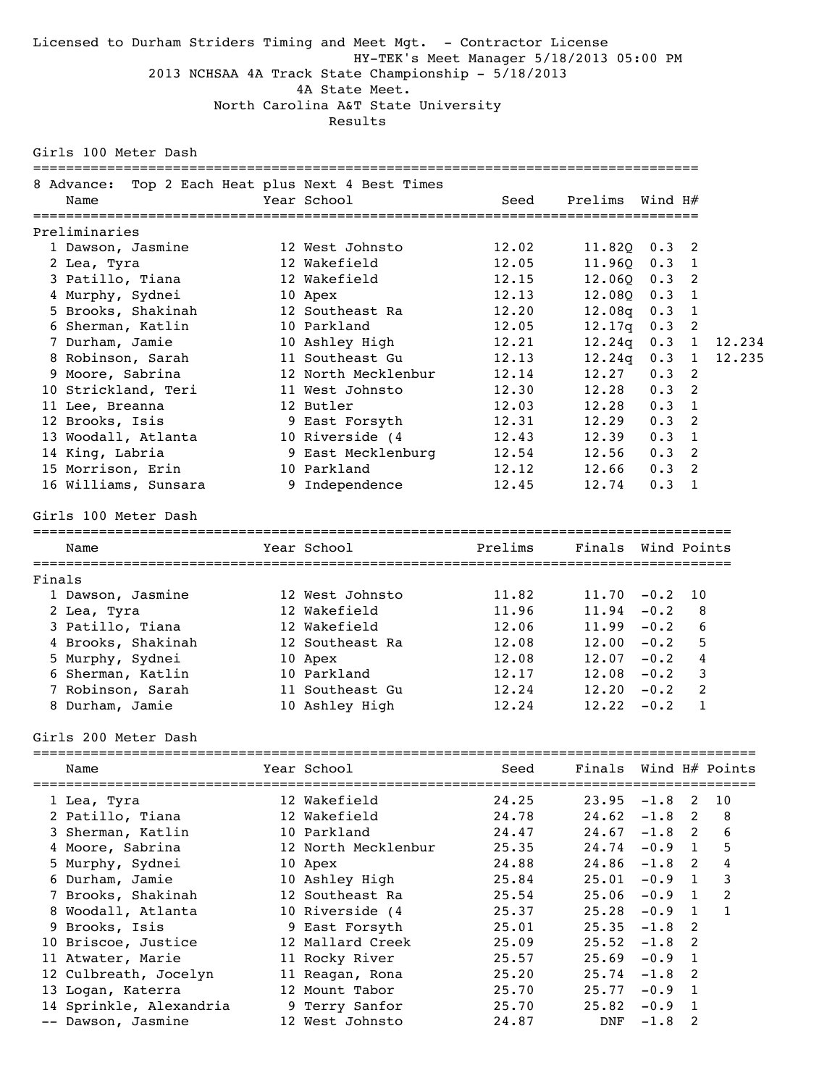Licensed to Durham Striders Timing and Meet Mgt. - Contractor License HY-TEK's Meet Manager 5/18/2013 05:00 PM 2013 NCHSAA 4A Track State Championship - 5/18/2013 4A State Meet. North Carolina A&T State University

Results

| Girls 100 Meter Dash    |                                                       |         |                 |                |                |              |
|-------------------------|-------------------------------------------------------|---------|-----------------|----------------|----------------|--------------|
| 8 Advance:<br>Name      | Top 2 Each Heat plus Next 4 Best Times<br>Year School | Seed    | Prelims Wind H# |                |                |              |
| Preliminaries           |                                                       |         |                 |                |                |              |
| 1 Dawson, Jasmine       | 12 West Johnsto                                       | 12.02   | $11.820$ 0.3 2  |                |                |              |
| 2 Lea, Tyra             | 12 Wakefield                                          | 12.05   | 11.960          | $0.3 \quad 1$  |                |              |
| 3 Patillo, Tiana        | 12 Wakefield                                          | 12.15   | 12.060          | $0.3$ 2        |                |              |
| 4 Murphy, Sydnei        | 10 Apex                                               | 12.13   | 12.080          | $0.3 \quad 1$  |                |              |
| 5 Brooks, Shakinah      | 12 Southeast Ra                                       | 12.20   | 12.08q          | 0.3            | 1              |              |
| 6 Sherman, Katlin       | 10 Parkland                                           | 12.05   | 12 <b>.</b> 17a | 0.3            | 2              |              |
| 7 Durham, Jamie         | 10 Ashley High                                        | 12.21   | 12.24q          | $0.3 \quad 1$  |                | 12.234       |
| 8 Robinson, Sarah       | 11 Southeast Gu                                       | 12.13   | 12.24q          | $0.3 \quad 1$  |                | 12.235       |
| 9 Moore, Sabrina        | 12 North Mecklenbur                                   | 12.14   | 12.27           | 0.3            | 2              |              |
| 10 Strickland, Teri     | 11 West Johnsto                                       | 12.30   | 12.28           | 0.3            | 2              |              |
| 11 Lee, Breanna         | 12 Butler                                             | 12.03   | 12.28           | 0.3            | $\mathbf{1}$   |              |
| 12 Brooks, Isis         | 9 East Forsyth                                        | 12.31   | 12.29           | 0.3            | 2              |              |
| 13 Woodall, Atlanta     | 10 Riverside (4                                       | 12.43   | 12.39           | $0.3$ 1        |                |              |
| 14 King, Labria         | 9 East Mecklenburg                                    | 12.54   | 12.56           | $0.3$ 2        |                |              |
| 15 Morrison, Erin       | 10 Parkland                                           | 12.12   | 12.66           | $0.3$ 2        |                |              |
| 16 Williams, Sunsara    | 9 Independence                                        | 12.45   | 12.74           | $0.3 \quad 1$  |                |              |
| Girls 100 Meter Dash    |                                                       |         |                 |                |                |              |
| Name                    | Year School                                           | Prelims | Finals          | Wind Points    |                |              |
| Finals                  |                                                       |         |                 |                |                |              |
| 1 Dawson, Jasmine       | 12 West Johnsto                                       | 11.82   | $11.70 - 0.2$   |                | 10             |              |
| 2 Lea, Tyra             | 12 Wakefield                                          | 11.96   | $11.94 - 0.2$   |                | 8              |              |
| 3 Patillo, Tiana        | 12 Wakefield                                          | 12.06   | $11.99 - 0.2$   |                | 6              |              |
| 4 Brooks, Shakinah      | 12 Southeast Ra                                       | 12.08   | $12.00 - 0.2$   |                | 5              |              |
| 5 Murphy, Sydnei        | 10 Apex                                               | 12.08   | $12.07 - 0.2$   |                | $\overline{4}$ |              |
| 6 Sherman, Katlin       | 10 Parkland                                           | 12.17   | $12.08 - 0.2$   |                | 3              |              |
| 7 Robinson, Sarah       | 11 Southeast Gu                                       | 12.24   | $12.20 - 0.2$   |                | 2              |              |
| 8 Durham, Jamie         | 10 Ashley High                                        | 12.24   | $12.22 - 0.2$   |                | $\mathbf{1}$   |              |
| Girls 200 Meter Dash    |                                                       |         |                 |                |                |              |
| Name                    | Year School                                           | Seed    | Finals          | Wind H# Points |                |              |
| 1 Lea, Tyra             | 12 Wakefield                                          | 24.25   | 23.95           | $-1.8$         | 2              | 10           |
| 2 Patillo, Tiana        | 12 Wakefield                                          | 24.78   | 24.62           | $-1.8$         | 2              | 8            |
| 3 Sherman, Katlin       | 10 Parkland                                           | 24.47   | 24.67           | $-1.8$         | 2              | 6            |
| 4 Moore, Sabrina        | 12 North Mecklenbur                                   | 25.35   | 24.74           | $-0.9$         | $\mathbf{1}$   | 5            |
| 5 Murphy, Sydnei        | 10 Apex                                               | 24.88   | 24.86           | $-1.8$         | 2              | 4            |
| 6 Durham, Jamie         | 10 Ashley High                                        | 25.84   | 25.01           | $-0.9$         | $\mathbf{1}$   | 3            |
| 7 Brooks, Shakinah      | 12 Southeast Ra                                       | 25.54   | 25.06           | $-0.9$         | 1              | 2            |
| 8 Woodall, Atlanta      | 10 Riverside (4                                       | 25.37   | 25.28           | $-0.9$         | 1              | $\mathbf{1}$ |
| 9 Brooks, Isis          | 9 East Forsyth                                        | 25.01   | 25.35           | $-1.8$         | 2              |              |
| 10 Briscoe, Justice     | 12 Mallard Creek                                      | 25.09   | 25.52           | $-1.8$         | 2              |              |
| 11 Atwater, Marie       | 11 Rocky River                                        | 25.57   | 25.69           | $-0.9$         | 1              |              |
| 12 Culbreath, Jocelyn   | 11 Reagan, Rona                                       | 25.20   | 25.74           | $-1.8$         | 2              |              |
| 13 Logan, Katerra       | 12 Mount Tabor                                        | 25.70   | 25.77           | $-0.9$         | 1              |              |
| 14 Sprinkle, Alexandria | 9 Terry Sanfor                                        | 25.70   | 25.82           | $-0.9$         | 1              |              |
| -- Dawson, Jasmine      | 12 West Johnsto                                       | 24.87   | DNF             | $-1.8$         | 2              |              |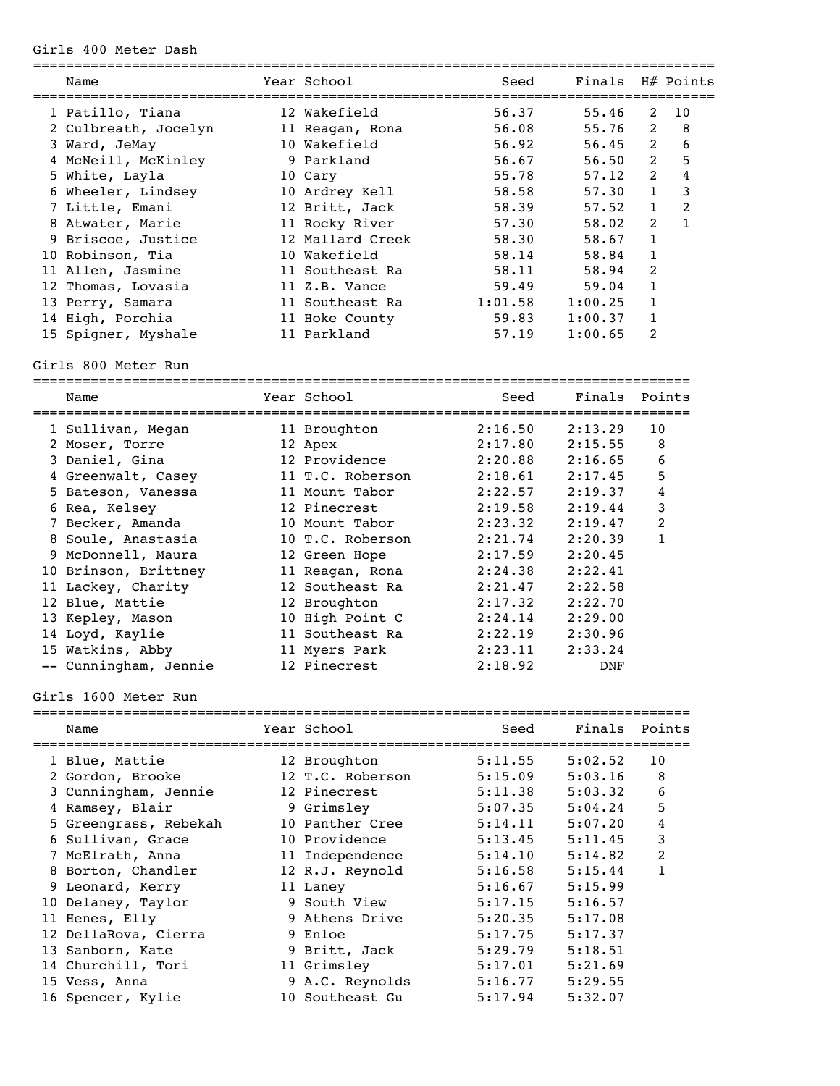Girls 400 Meter Dash

| Name                  | Year School      | Seed    |               | Finals H# Points               |
|-----------------------|------------------|---------|---------------|--------------------------------|
| 1 Patillo, Tiana      | 12 Wakefield     | 56.37   | 55.46         | 2<br>10                        |
| 2 Culbreath, Jocelyn  | 11 Reagan, Rona  | 56.08   | 55.76         | $\overline{2}$<br>8            |
| 3 Ward, JeMay         | 10 Wakefield     | 56.92   | 56.45         | $\overline{2}$<br>6            |
| 4 McNeill, McKinley   | 9 Parkland       | 56.67   | 56.50         | $\overline{2}$<br>5            |
| 5 White, Layla        | 10 Cary          | 55.78   | 57.12         | $\overline{2}$<br>4            |
| 6 Wheeler, Lindsey    | 10 Ardrey Kell   | 58.58   | 57.30         | 3<br>$\mathbf{1}$              |
| 7 Little, Emani       | 12 Britt, Jack   | 58.39   | 57.52         | $\overline{2}$<br>$\mathbf{1}$ |
| 8 Atwater, Marie      | 11 Rocky River   | 57.30   | 58.02         | 2<br>$\mathbf{1}$              |
| 9 Briscoe, Justice    | 12 Mallard Creek | 58.30   | 58.67         | $\mathbf{1}$                   |
| 10 Robinson, Tia      | 10 Wakefield     | 58.14   | 58.84         | 1                              |
| 11 Allen, Jasmine     | 11 Southeast Ra  | 58.11   | 58.94         | 2                              |
| 12 Thomas, Lovasia    | 11 Z.B. Vance    | 59.49   | 59.04         | 1                              |
| 13 Perry, Samara      | 11 Southeast Ra  | 1:01.58 | 1:00.25       | 1                              |
| 14 High, Porchia      | 11 Hoke County   | 59.83   | 1:00.37       | $\mathbf{1}$                   |
| 15 Spigner, Myshale   | 11 Parkland      | 57.19   | 1:00.65       | 2                              |
| Girls 800 Meter Run   |                  |         |               |                                |
| Name                  | Year School      | Seed    | Finals        | Points                         |
| 1 Sullivan, Megan     | 11 Broughton     | 2:16.50 | 2:13.29       | 10                             |
| 2 Moser, Torre        | 12 Apex          | 2:17.80 | 2:15.55       | 8                              |
| 3 Daniel, Gina        | 12 Providence    | 2:20.88 | 2:16.65       | 6                              |
| 4 Greenwalt, Casey    | 11 T.C. Roberson | 2:18.61 | 2:17.45       | 5                              |
| 5 Bateson, Vanessa    | 11 Mount Tabor   | 2:22.57 | 2:19.37       | 4                              |
| 6 Rea, Kelsey         | 12 Pinecrest     | 2:19.58 | 2:19.44       | 3                              |
| 7 Becker, Amanda      | 10 Mount Tabor   | 2:23.32 | 2:19.47       | $\overline{c}$                 |
| 8 Soule, Anastasia    | 10 T.C. Roberson | 2:21.74 | 2:20.39       | $\mathbf{1}$                   |
| 9 McDonnell, Maura    | 12 Green Hope    | 2:17.59 | 2:20.45       |                                |
| 10 Brinson, Brittney  | 11 Reagan, Rona  | 2:24.38 | 2:22.41       |                                |
| 11 Lackey, Charity    | 12 Southeast Ra  | 2:21.47 | 2:22.58       |                                |
| 12 Blue, Mattie       | 12 Broughton     | 2:17.32 | 2:22.70       |                                |
| 13 Kepley, Mason      | 10 High Point C  | 2:24.14 | 2:29.00       |                                |
| 14 Loyd, Kaylie       | 11 Southeast Ra  | 2:22.19 | 2:30.96       |                                |
| 15 Watkins, Abby      | 11 Myers Park    | 2:23.11 | 2:33.24       |                                |
| -- Cunningham, Jennie | 12 Pinecrest     | 2:18.92 | DNF           |                                |
| Girls 1600 Meter Run  |                  |         |               |                                |
| Name                  | Year School      | Seed    | Finals Points |                                |
| 1 Blue, Mattie        | 12 Broughton     | 5:11.55 | 5:02.52       | 10                             |
| 2 Gordon, Brooke      | 12 T.C. Roberson | 5:15.09 | 5:03.16       | 8                              |
| 3 Cunningham, Jennie  | 12 Pinecrest     | 5:11.38 | 5:03.32       | 6                              |
| 4 Ramsey, Blair       | 9 Grimsley       | 5:07.35 | 5:04.24       | 5                              |
|                       |                  |         |               |                                |

 5 Greengrass, Rebekah 10 Panther Cree 5:14.11 5:07.20 4 6 Sullivan, Grace 10 Providence 5:13.45 5:11.45 3 7 McElrath, Anna 11 Independence 5:14.10 5:14.82 2 8 Borton, Chandler 12 R.J. Reynold 5:16.58 5:15.44 1 9 Leonard, Kerry 11 Laney 5:16.67 5:15.99 10 Delaney, Taylor 9 South View 5:17.15 5:16.57 11 Henes, Elly 9 Athens Drive 5:20.35 5:17.08 12 DellaRova, Cierra 9 Enloe 5:17.75 5:17.37 13 Sanborn, Kate 9 Britt, Jack 5:29.79 5:18.51

 14 Churchill, Tori 11 Grimsley 5:17.01 5:21.69 15 Vess, Anna 9 A.C. Reynolds 5:16.77 5:29.55 16 Spencer, Kylie 10 Southeast Gu 5:17.94 5:32.07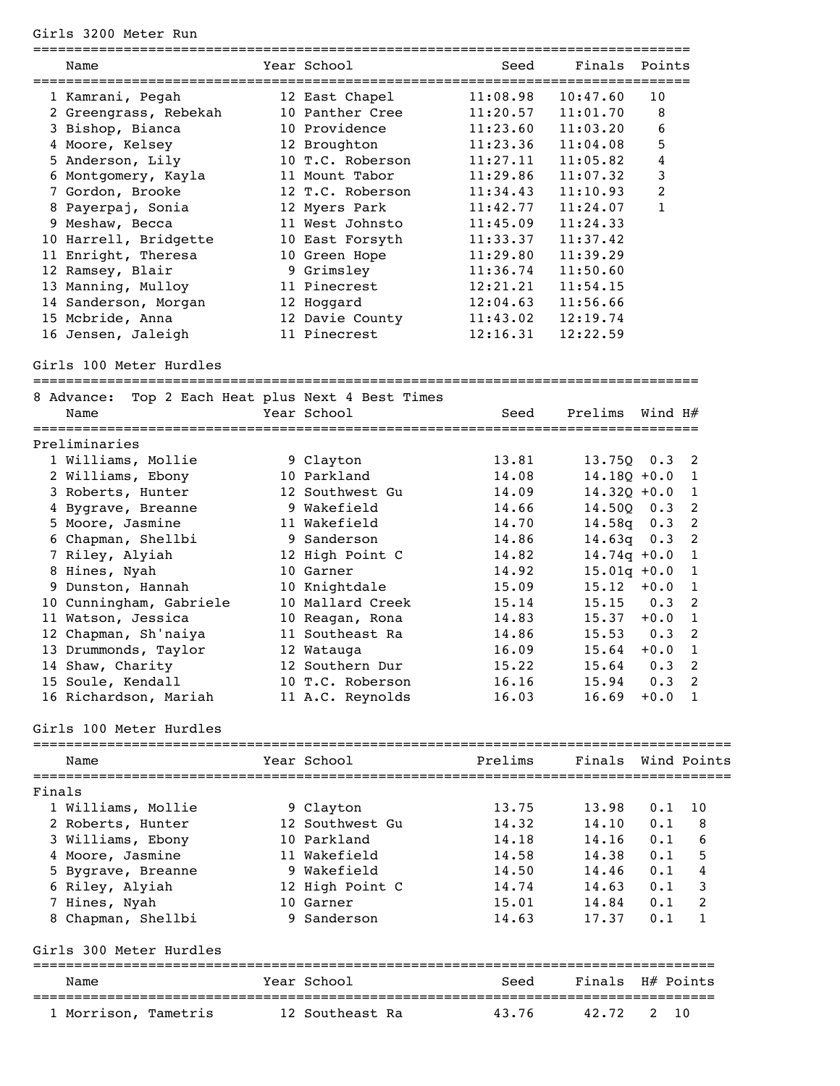## Girls 3200 Meter Run

|        | Name                       | Year School                            | Seed     | Finals             | Points       |                |
|--------|----------------------------|----------------------------------------|----------|--------------------|--------------|----------------|
|        | 1 Kamrani, Pegah           | 12 East Chapel                         | 11:08.98 | 10:47.60           | 10           |                |
|        | 2 Greengrass, Rebekah      | 10 Panther Cree                        | 11:20.57 | 11:01.70           | 8            |                |
|        | 3 Bishop, Bianca           | 10 Providence                          | 11:23.60 | 11:03.20           | 6            |                |
|        | 4 Moore, Kelsey            | 12 Broughton                           | 11:23.36 | 11:04.08           | 5            |                |
|        | 5 Anderson, Lily           | 10 T.C. Roberson                       | 11:27.11 | 11:05.82           | 4            |                |
|        | 6 Montgomery, Kayla        | 11 Mount Tabor                         | 11:29.86 | 11:07.32           | 3            |                |
|        | 7 Gordon, Brooke           | 12 T.C. Roberson                       | 11:34.43 | 11:10.93           | 2            |                |
|        | 8 Payerpaj, Sonia          | 12 Myers Park                          | 11:42.77 | 11:24.07           | $\mathbf{1}$ |                |
|        | 9 Meshaw, Becca            | 11 West Johnsto                        | 11:45.09 | 11:24.33           |              |                |
|        | 10 Harrell, Bridgette      | 10 East Forsyth                        | 11:33.37 | 11:37.42           |              |                |
|        | 11 Enright, Theresa        | 10 Green Hope                          | 11:29.80 | 11:39.29           |              |                |
|        | 12 Ramsey, Blair           | 9 Grimsley                             | 11:36.74 | 11:50.60           |              |                |
|        | 13 Manning, Mulloy         | 11 Pinecrest                           | 12:21.21 | 11:54.15           |              |                |
|        | 14 Sanderson, Morgan       | 12 Hoggard                             | 12:04.63 | 11:56.66           |              |                |
|        | 15 Mcbride, Anna           | 12 Davie County                        | 11:43.02 | 12:19.74           |              |                |
|        | 16 Jensen, Jaleigh         | 11 Pinecrest                           | 12:16.31 | 12:22.59           |              |                |
|        | Girls 100 Meter Hurdles    |                                        |          |                    |              |                |
|        | 8 Advance:                 | Top 2 Each Heat plus Next 4 Best Times |          |                    |              |                |
|        | Name<br>================== | Year School                            | Seed     | Prelims            | Wind H#      |                |
|        | Preliminaries              |                                        |          |                    |              |                |
|        | 1 Williams, Mollie         | 9 Clayton                              | 13.81    | 13.75Q             | 0.3          | 2              |
|        | 2 Williams, Ebony          | 10 Parkland                            | 14.08    | $14.18Q + 0.0$     |              | 1              |
|        | 3 Roberts, Hunter          | 12 Southwest Gu                        | 14.09    | $14.32Q + 0.0$     |              | 1              |
|        | 4 Bygrave, Breanne         | 9 Wakefield                            | 14.66    | 14.500             | 0.3          | 2              |
|        | 5 Moore, Jasmine           | 11 Wakefield                           | 14.70    | 14.58q             | 0.3          | 2              |
|        | 6 Chapman, Shellbi         | 9 Sanderson                            | 14.86    | 14.63q             | 0.3          | 2              |
|        | 7 Riley, Alyiah            | 12 High Point C                        | 14.82    | $14.74q + 0.0$     |              | $\mathbf{1}$   |
|        | 8 Hines, Nyah              | 10 Garner                              | 14.92    | $15.01q + 0.0$     |              | 1              |
|        | 9 Dunston, Hannah          | 10 Knightdale                          | 15.09    | 15.12              | $+0.0$       | $\mathbf{1}$   |
|        | 10 Cunningham, Gabriele    | 10 Mallard Creek                       | 15.14    | 15.15              | 0.3          | 2              |
|        | 11 Watson, Jessica         | 10 Reagan, Rona                        | 14.83    | 15.37              | $+0.0$       | 1              |
|        | 12 Chapman, Sh'naiya       | 11 Southeast Ra                        | 14.86    | 15.53              | 0.3          | 2              |
|        | 13 Drummonds, Taylor       | 12 Watauga                             | 16.09    | 15.64              | $+0.0$       | 1              |
|        | 14 Shaw, Charity           | 12 Southern Dur                        | 15.22    | 15.64              | 0.3          | 2              |
|        | 15 Soule, Kendall          | 10 T.C. Roberson                       | 16.16    | 15.94              | 0.3          | $\overline{2}$ |
|        | 16 Richardson, Mariah      | 11 A.C. Reynolds                       | 16.03    | 16.69              | $+0.0$       | 1              |
|        | Girls 100 Meter Hurdles    |                                        |          |                    |              |                |
|        | Name                       | Year School                            | Prelims  | Finals Wind Points |              |                |
| Finals |                            |                                        |          |                    |              |                |
|        | 1 Williams, Mollie         | 9 Clayton                              | 13.75    | 13.98              | 0.1          | 10             |
|        | 2 Roberts, Hunter          | 12 Southwest Gu                        | 14.32    | 14.10              | 0.1          | 8              |
|        | 3 Williams, Ebony          | 10 Parkland                            | 14.18    | 14.16              | 0.1          | 6              |
|        | 4 Moore, Jasmine           | 11 Wakefield                           | 14.58    | 14.38              | 0.1          | 5              |
|        | 5 Bygrave, Breanne         | 9 Wakefield                            | 14.50    | 14.46              | 0.1          | 4              |
|        | 6 Riley, Alyiah            | 12 High Point C                        | 14.74    | 14.63              | 0.1          | 3              |
|        | 7 Hines, Nyah              | 10 Garner                              | 15.01    | 14.84              | 0.1          | 2              |
|        | 8 Chapman, Shellbi         | 9 Sanderson                            | 14.63    | 17.37              | 0.1          | 1              |
|        | Girls 300 Meter Hurdles    |                                        |          |                    |              |                |
|        | Name                       | Year School                            | Seed     | Finals             | H# Points    |                |
|        | 1 Morrison, Tametris       | 12 Southeast Ra                        | 43.76    | 42.72              | 2            | 10             |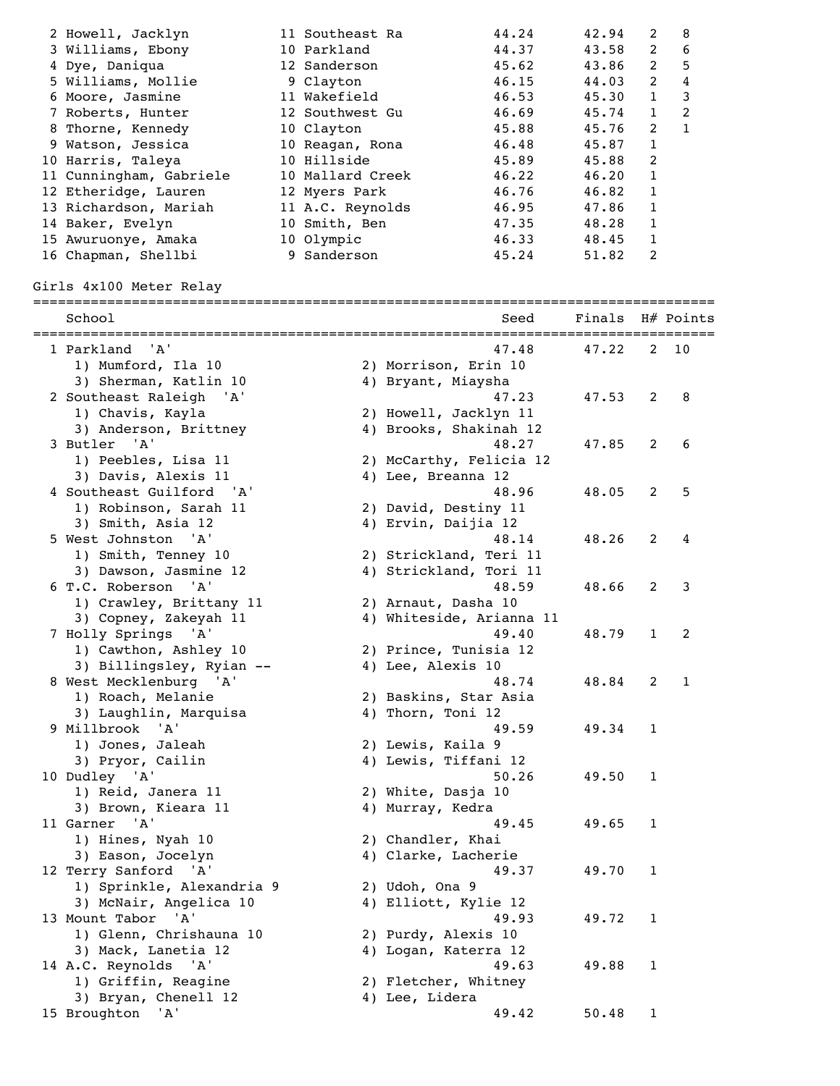| 3 Williams, Ebony<br>2<br>44.37<br>43.58<br>10 Parkland                       | 6 |
|-------------------------------------------------------------------------------|---|
|                                                                               |   |
| 2<br>43.86<br>4 Dye, Daniqua<br>12 Sanderson<br>45.62                         | 5 |
| 2<br>5 Williams, Mollie<br>44.03<br>46.15<br>9 Clayton                        | 4 |
| 11 Wakefield<br>$\mathbf{1}$<br>46.53<br>45.30<br>6 Moore, Jasmine            | 3 |
| $\mathbf{1}$<br>45.74<br>46.69<br>7 Roberts, Hunter<br>12 Southwest Gu        | 2 |
| 2<br>45.88<br>45.76<br>8 Thorne, Kennedy<br>10 Clayton                        | 1 |
| $\mathbf{1}$<br>45.87<br>46.48<br>9 Watson, Jessica<br>10 Reagan, Rona        |   |
| 10 Hillside<br>2<br>10 Harris, Taleya<br>45.89<br>45.88                       |   |
| $\mathbf{1}$<br>11 Cunningham, Gabriele<br>10 Mallard Creek<br>46.22<br>46.20 |   |
| $\mathbf{1}$<br>12 Etheridge, Lauren<br>46.76<br>46.82<br>12 Myers Park       |   |
| 1<br>13 Richardson, Mariah<br>11 A.C. Reynolds<br>47.86<br>46.95              |   |
| 1<br>10 Smith, Ben<br>47.35<br>48.28<br>14 Baker, Evelyn                      |   |
| 48.45<br>10 Olympic<br>46.33<br>15 Awuruonye, Amaka                           |   |
| 2<br>9 Sanderson<br>16 Chapman, Shellbi<br>45.24<br>51.82                     |   |

Girls 4x100 Meter Relay

| 1 Parkland<br>'A'<br>47.22<br>2<br>10<br>47.48<br>1) Mumford, Ila 10<br>2) Morrison, Erin 10<br>3) Sherman, Katlin 10<br>4) Bryant, Miaysha<br>2 Southeast Raleigh<br>'A'<br>47.23<br>47.53<br>2<br>8<br>1) Chavis, Kayla<br>2) Howell, Jacklyn 11<br>3) Anderson, Brittney<br>4) Brooks, Shakinah 12<br>3 Butler<br>$^{\prime}$ A $^{\prime}$<br>48.27<br>2<br>6<br>47.85<br>1) Peebles, Lisa 11<br>2) McCarthy, Felicia 12<br>3) Davis, Alexis 11<br>4) Lee, Breanna 12<br>4 Southeast Guilford 'A'<br>5<br>48.96<br>48.05<br>2<br>1) Robinson, Sarah 11<br>2) David, Destiny 11<br>4) Ervin, Daijia 12 | School            |
|-----------------------------------------------------------------------------------------------------------------------------------------------------------------------------------------------------------------------------------------------------------------------------------------------------------------------------------------------------------------------------------------------------------------------------------------------------------------------------------------------------------------------------------------------------------------------------------------------------------|-------------------|
|                                                                                                                                                                                                                                                                                                                                                                                                                                                                                                                                                                                                           |                   |
|                                                                                                                                                                                                                                                                                                                                                                                                                                                                                                                                                                                                           |                   |
|                                                                                                                                                                                                                                                                                                                                                                                                                                                                                                                                                                                                           |                   |
|                                                                                                                                                                                                                                                                                                                                                                                                                                                                                                                                                                                                           |                   |
|                                                                                                                                                                                                                                                                                                                                                                                                                                                                                                                                                                                                           |                   |
|                                                                                                                                                                                                                                                                                                                                                                                                                                                                                                                                                                                                           |                   |
|                                                                                                                                                                                                                                                                                                                                                                                                                                                                                                                                                                                                           |                   |
|                                                                                                                                                                                                                                                                                                                                                                                                                                                                                                                                                                                                           |                   |
|                                                                                                                                                                                                                                                                                                                                                                                                                                                                                                                                                                                                           |                   |
|                                                                                                                                                                                                                                                                                                                                                                                                                                                                                                                                                                                                           |                   |
|                                                                                                                                                                                                                                                                                                                                                                                                                                                                                                                                                                                                           |                   |
|                                                                                                                                                                                                                                                                                                                                                                                                                                                                                                                                                                                                           | 3) Smith, Asia 12 |
| 5 West Johnston 'A'<br>48.14<br>48.26<br>2<br>4                                                                                                                                                                                                                                                                                                                                                                                                                                                                                                                                                           |                   |
| 1) Smith, Tenney 10<br>2) Strickland, Teri 11                                                                                                                                                                                                                                                                                                                                                                                                                                                                                                                                                             |                   |
| 3) Dawson, Jasmine 12<br>4) Strickland, Tori 11                                                                                                                                                                                                                                                                                                                                                                                                                                                                                                                                                           |                   |
| 6 T.C. Roberson<br>'A'<br>48.59<br>48.66<br>2<br>3                                                                                                                                                                                                                                                                                                                                                                                                                                                                                                                                                        |                   |
| 1) Crawley, Brittany 11<br>2) Arnaut, Dasha 10                                                                                                                                                                                                                                                                                                                                                                                                                                                                                                                                                            |                   |
| 4) Whiteside, Arianna 11<br>3) Copney, Zakeyah 11                                                                                                                                                                                                                                                                                                                                                                                                                                                                                                                                                         |                   |
| 7 Holly Springs 'A'<br>49.40<br>48.79<br>2<br>1                                                                                                                                                                                                                                                                                                                                                                                                                                                                                                                                                           |                   |
| 1) Cawthon, Ashley 10<br>2) Prince, Tunisia 12                                                                                                                                                                                                                                                                                                                                                                                                                                                                                                                                                            |                   |
| 3) Billingsley, Ryian --<br>4) Lee, Alexis 10                                                                                                                                                                                                                                                                                                                                                                                                                                                                                                                                                             |                   |
| 8 West Mecklenburg 'A'<br>48.74<br>48.84<br>2<br>1                                                                                                                                                                                                                                                                                                                                                                                                                                                                                                                                                        |                   |
| 1) Roach, Melanie<br>2) Baskins, Star Asia                                                                                                                                                                                                                                                                                                                                                                                                                                                                                                                                                                |                   |
| 4) Thorn, Toni 12<br>3) Laughlin, Marquisa                                                                                                                                                                                                                                                                                                                                                                                                                                                                                                                                                                |                   |
| 9 Millbrook 'A'<br>49.59<br>49.34<br>1                                                                                                                                                                                                                                                                                                                                                                                                                                                                                                                                                                    |                   |
| 1) Jones, Jaleah<br>2) Lewis, Kaila 9<br>4) Lewis, Tiffani 12                                                                                                                                                                                                                                                                                                                                                                                                                                                                                                                                             |                   |
| 3) Pryor, Cailin<br>10 Dudley 'A'<br>50.26<br>49.50<br>1                                                                                                                                                                                                                                                                                                                                                                                                                                                                                                                                                  |                   |
| 1) Reid, Janera 11<br>2) White, Dasja 10                                                                                                                                                                                                                                                                                                                                                                                                                                                                                                                                                                  |                   |
| 3) Brown, Kieara 11<br>4) Murray, Kedra                                                                                                                                                                                                                                                                                                                                                                                                                                                                                                                                                                   |                   |
| 11 Garner 'A'<br>49.45<br>49.65<br>$\mathbf{1}$                                                                                                                                                                                                                                                                                                                                                                                                                                                                                                                                                           |                   |
| 1) Hines, Nyah 10<br>2) Chandler, Khai                                                                                                                                                                                                                                                                                                                                                                                                                                                                                                                                                                    |                   |
| 3) Eason, Jocelyn<br>4) Clarke, Lacherie                                                                                                                                                                                                                                                                                                                                                                                                                                                                                                                                                                  |                   |
| 12 Terry Sanford 'A'<br>49.37<br>49.70<br>1                                                                                                                                                                                                                                                                                                                                                                                                                                                                                                                                                               |                   |
| 1) Sprinkle, Alexandria 9<br>2) Udoh, Ona 9                                                                                                                                                                                                                                                                                                                                                                                                                                                                                                                                                               |                   |
| 3) McNair, Angelica 10<br>4) Elliott, Kylie 12                                                                                                                                                                                                                                                                                                                                                                                                                                                                                                                                                            |                   |
| 13 Mount Tabor 'A'<br>49.93<br>49.72<br>1                                                                                                                                                                                                                                                                                                                                                                                                                                                                                                                                                                 |                   |
| 1) Glenn, Chrishauna 10<br>2) Purdy, Alexis 10                                                                                                                                                                                                                                                                                                                                                                                                                                                                                                                                                            |                   |
| 3) Mack, Lanetia 12<br>4) Logan, Katerra 12                                                                                                                                                                                                                                                                                                                                                                                                                                                                                                                                                               |                   |
| 14 A.C. Reynolds 'A'<br>49.63<br>49.88<br>1                                                                                                                                                                                                                                                                                                                                                                                                                                                                                                                                                               |                   |
| 1) Griffin, Reagine<br>2) Fletcher, Whitney                                                                                                                                                                                                                                                                                                                                                                                                                                                                                                                                                               |                   |
| 3) Bryan, Chenell 12<br>4) Lee, Lidera                                                                                                                                                                                                                                                                                                                                                                                                                                                                                                                                                                    |                   |
| 15 Broughton<br>'A'<br>49.42<br>50.48<br>$\mathbf{1}$                                                                                                                                                                                                                                                                                                                                                                                                                                                                                                                                                     |                   |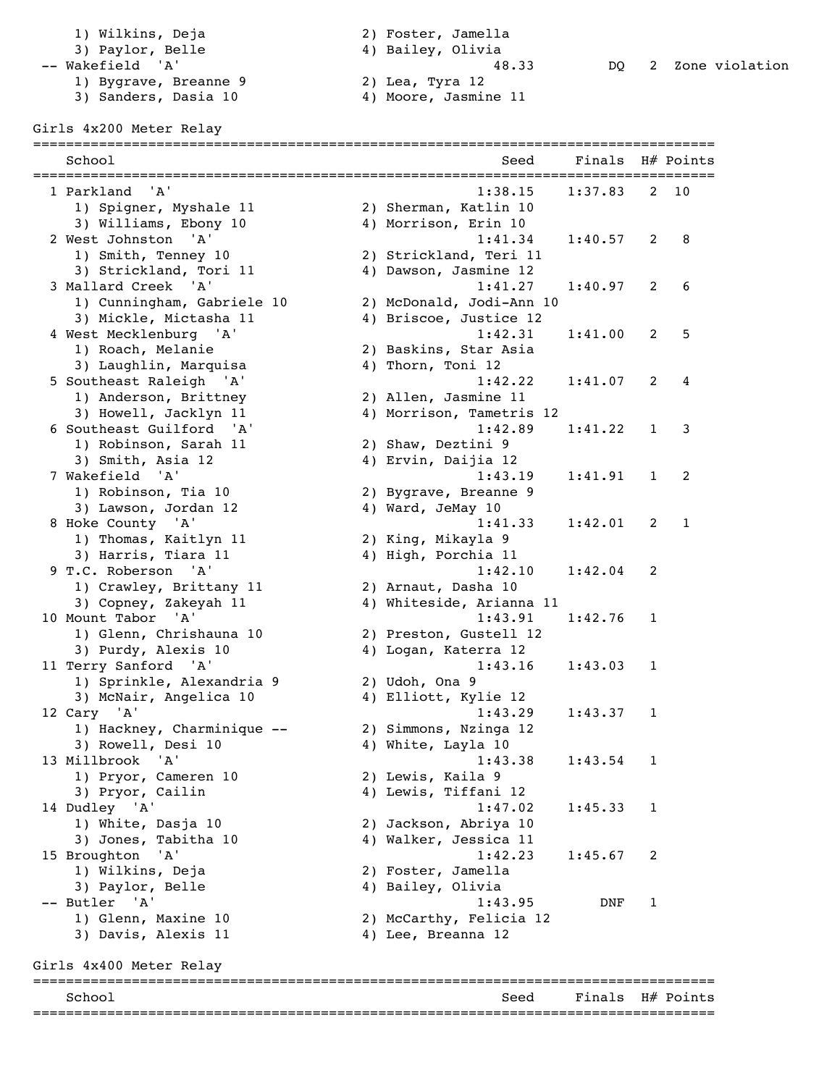3) Paylor, Belle<br>-- Wakefield 'A' 1) Bygrave, Breanne 9 2) Lea, Tyra 12 3) Sanders, Dasia 10 4) Moore, Jasmine 11

1) Wilkins, Deja (2) Foster, Jamella<br>3) Paylor, Belle (2) 4) Bailey, Olivia

## Girls 4x200 Meter Relay

| School                     | Seed                     | Finals  |   | H# Points |
|----------------------------|--------------------------|---------|---|-----------|
| 1 Parkland<br>'A'          | 1:38.15                  | 1:37.83 | 2 | 10        |
| 1) Spigner, Myshale 11     | 2) Sherman, Katlin 10    |         |   |           |
| 3) Williams, Ebony 10      | 4) Morrison, Erin 10     |         |   |           |
| 2 West Johnston<br>'A'     | 1:41.34                  | 1:40.57 | 2 | 8         |
| 1) Smith, Tenney 10        | 2) Strickland, Teri 11   |         |   |           |
| 3) Strickland, Tori 11     | 4) Dawson, Jasmine 12    |         |   |           |
| 3 Mallard Creek 'A'        | 1:41.27                  | 1:40.97 | 2 | 6         |
| 1) Cunningham, Gabriele 10 | 2) McDonald, Jodi-Ann 10 |         |   |           |
| 3) Mickle, Mictasha 11     | 4) Briscoe, Justice 12   |         |   |           |
| 4 West Mecklenburg 'A'     | 1:42.31                  | 1:41.00 | 2 | 5         |
| 1) Roach, Melanie          | 2) Baskins, Star Asia    |         |   |           |
| 3) Laughlin, Marquisa      | 4) Thorn, Toni 12        |         |   |           |
| 5 Southeast Raleigh<br>'A' | 1:42.22                  | 1:41.07 | 2 | 4         |
| 1) Anderson, Brittney      | 2) Allen, Jasmine 11     |         |   |           |
| 3) Howell, Jacklyn 11      | 4) Morrison, Tametris 12 |         |   |           |
| 6 Southeast Guilford 'A'   | 1:42.89                  | 1:41.22 | 1 | 3         |
| 1) Robinson, Sarah 11      | 2) Shaw, Deztini 9       |         |   |           |
| 3) Smith, Asia 12          | 4) Ervin, Daijia 12      |         |   |           |
| 7 Wakefield<br>'A'         | 1:43.19                  | 1:41.91 | 1 | 2         |
| 1) Robinson, Tia 10        | 2) Bygrave, Breanne 9    |         |   |           |
| 3) Lawson, Jordan 12       | 4) Ward, JeMay 10        |         |   |           |
| 8 Hoke County 'A'          | 1:41.33                  | 1:42.01 | 2 | 1         |
| 1) Thomas, Kaitlyn 11      | 2) King, Mikayla 9       |         |   |           |
| 3) Harris, Tiara 11        | 4) High, Porchia 11      |         |   |           |
| 9 T.C. Roberson<br>' A'    | 1:42.10                  | 1:42.04 | 2 |           |
| 1) Crawley, Brittany 11    | 2) Arnaut, Dasha 10      |         |   |           |
| 3) Copney, Zakeyah 11      | 4) Whiteside, Arianna 11 |         |   |           |
| 10 Mount Tabor<br>'A'      | 1:43.91                  | 1:42.76 | 1 |           |
| 1) Glenn, Chrishauna 10    | 2) Preston, Gustell 12   |         |   |           |
| 3) Purdy, Alexis 10        | 4) Logan, Katerra 12     |         |   |           |
| 11 Terry Sanford 'A'       | 1:43.16                  | 1:43.03 | 1 |           |
| 1) Sprinkle, Alexandria 9  | 2) Udoh, Ona 9           |         |   |           |
| 3) McNair, Angelica 10     | 4) Elliott, Kylie 12     |         |   |           |
| 12 Cary 'A'                | 1:43.29                  | 1:43.37 | 1 |           |
| 1) Hackney, Charminique -- | 2) Simmons, Nzinga 12    |         |   |           |
| 3) Rowell, Desi 10         | 4) White, Layla 10       |         |   |           |
| 13 Millbrook<br>'A'        | 1:43.38                  | 1:43.54 | 1 |           |
| 1) Pryor, Cameren 10       | 2) Lewis, Kaila 9        |         |   |           |
| 3) Pryor, Cailin           | 4) Lewis, Tiffani 12     |         |   |           |
| 14 Dudley 'A'              | 1:47.02                  | 1:45.33 | 1 |           |
| 1) White, Dasja 10         | 2) Jackson, Abriya 10    |         |   |           |
| 3) Jones, Tabitha 10       | 4) Walker, Jessica 11    |         |   |           |
| 15 Broughton<br>'A'        | 1:42.23                  | 1:45.67 | 2 |           |
| 1) Wilkins, Deja           | 2) Foster, Jamella       |         |   |           |
| 3) Paylor, Belle           | 4) Bailey, Olivia        |         |   |           |
| -- Butler 'A'              | 1:43.95                  | DNF     | 1 |           |
| 1) Glenn, Maxine 10        | 2) McCarthy, Felicia 12  |         |   |           |
| 3) Davis, Alexis 11        | 4) Lee, Breanna 12       |         |   |           |
| Girls 4x400 Meter Relay    |                          |         |   |           |
|                            |                          |         |   |           |

| ∍. |  | H# |
|----|--|----|
|    |  |    |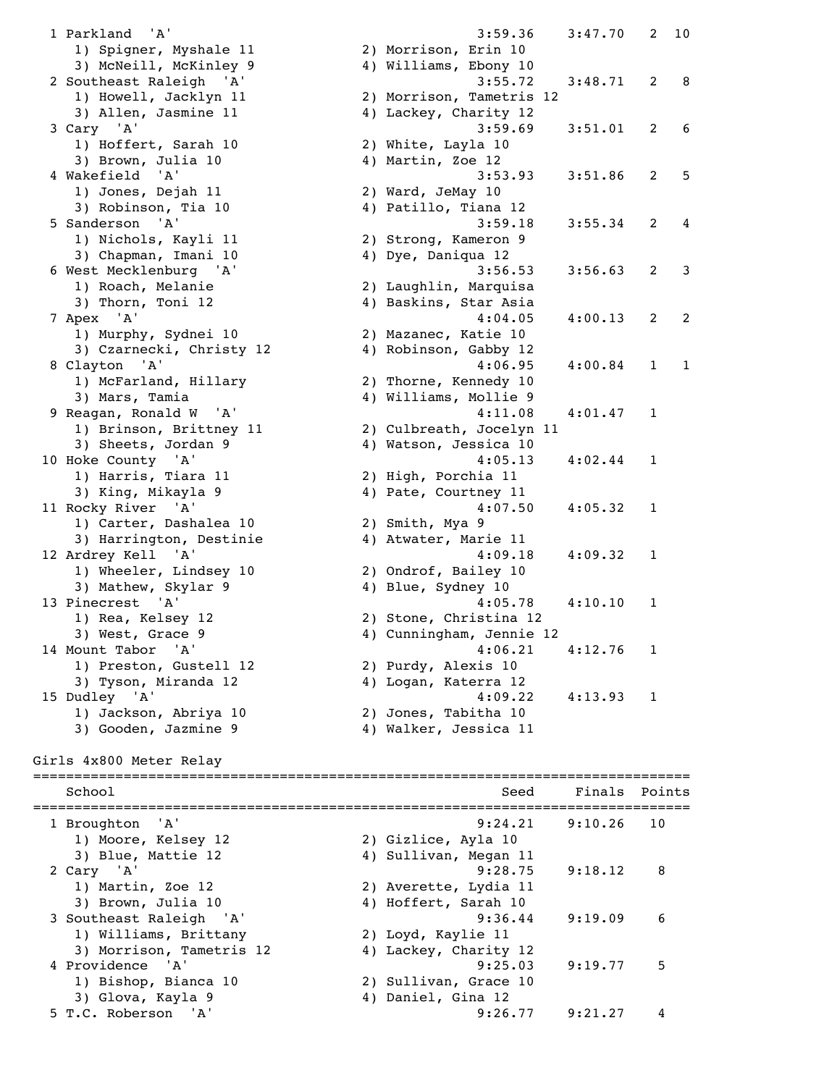1 Parkland 'A' 3:59.36 3:47.70 2 10 1) Spigner, Myshale 11 2) Morrison, Erin 10 3) McNeill, McKinley 9 4) Williams, Ebony 10 2 Southeast Raleigh 'A' 3:55.72 3:48.71 2 8 1) Howell, Jacklyn 11 2) Morrison, Tametris 12 3) Allen, Jasmine 11 4) Lackey, Charity 12 3 Cary 'A' 3:59.69 3:51.01 2 6 1) Hoffert, Sarah 10 2) White, Layla 10 3) Brown, Julia 10 4) Martin, Zoe 12 4 Wakefield 'A' 3:53.93 3:51.86 2 5 1) Jones, Dejah 11 2) Ward, JeMay 10 3) Robinson, Tia 10 4) Patillo, Tiana 12 5 Sanderson 'A' 3:59.18 3:55.34 2 4 1) Nichols, Kayli 11 2) Strong, Kameron 9 3) Chapman, Imani 10 4) Dye, Daniqua 12 6 West Mecklenburg 'A' 3:56.53 3:56.63 2 3 1) Roach, Melanie 2) Laughlin, Marquisa 3) Thorn, Toni 12 4) Baskins, Star Asia 7 Apex 'A' 4:04.05 4:00.13 2 2 1) Murphy, Sydnei 10 2) Mazanec, Katie 10 3) Czarnecki, Christy 12 4) Robinson, Gabby 12 8 Clayton 'A' 4:06.95 4:00.84 1 1 1) McFarland, Hillary 2) Thorne, Kennedy 10 3) Mars, Tamia 4) Williams, Mollie 9 9 Reagan, Ronald W 'A' 4:11.08 4:01.47 1 1) Brinson, Brittney 11 2) Culbreath, Jocelyn 11 3) Sheets, Jordan 9 4) Watson, Jessica 10 10 Hoke County 'A' 4:05.13 4:02.44 1 1) Harris, Tiara 11 2) High, Porchia 11 3) King, Mikayla 9 4) Pate, Courtney 11 11 Rocky River 'A' 4:07.50 4:05.32 1 1) Carter, Dashalea 10 2) Smith, Mya 9 3) Harrington, Destinie 4) Atwater, Marie 11 12 Ardrey Kell 'A' 4:09.18 4:09.32 1 1) Wheeler, Lindsey 10 2) Ondrof, Bailey 10 3) Mathew, Skylar 9 4) Blue, Sydney 10 13 Pinecrest 'A' 4:05.78 4:10.10 1 1) Rea, Kelsey 12 2) Stone, Christina 12 3) West, Grace 9 4) Cunningham, Jennie 12 14 Mount Tabor 'A' 4:06.21 4:12.76 1 1) Preston, Gustell 12 2) Purdy, Alexis 10 3) Tyson, Miranda 12 4) Logan, Katerra 12 15 Dudley 'A' 4:09.22 4:13.93 1 1) Jackson, Abriya 10 2) Jones, Tabitha 10 3) Gooden, Jazmine 9 4) Walker, Jessica 11 Girls 4x800 Meter Relay ================================================================================ School Seed Finals Points ================================================================================ 1 Broughton 'A' 9:24.21 9:10.26 10 1) Moore, Kelsey 12 2) Gizlice, Ayla 10 3) Blue, Mattie 12 4) Sullivan, Megan 11 2 Cary 'A' 9:28.75 9:18.12 8 1) Martin, Zoe 12 2) Averette, Lydia 11 3) Brown, Julia 10 4) Hoffert, Sarah 10 3 Southeast Raleigh 'A' 9:36.44 9:19.09 6 1) Williams, Brittany 2) Loyd, Kaylie 11 3) Morrison, Tametris 12 4) Lackey, Charity 12 4 Providence 'A' 9:25.03 9:19.77 5 1) Bishop, Bianca 10 2) Sullivan, Grace 10 3) Glova, Kayla 9 4) Daniel, Gina 12 5 T.C. Roberson 'A' 9:26.77 9:21.27 4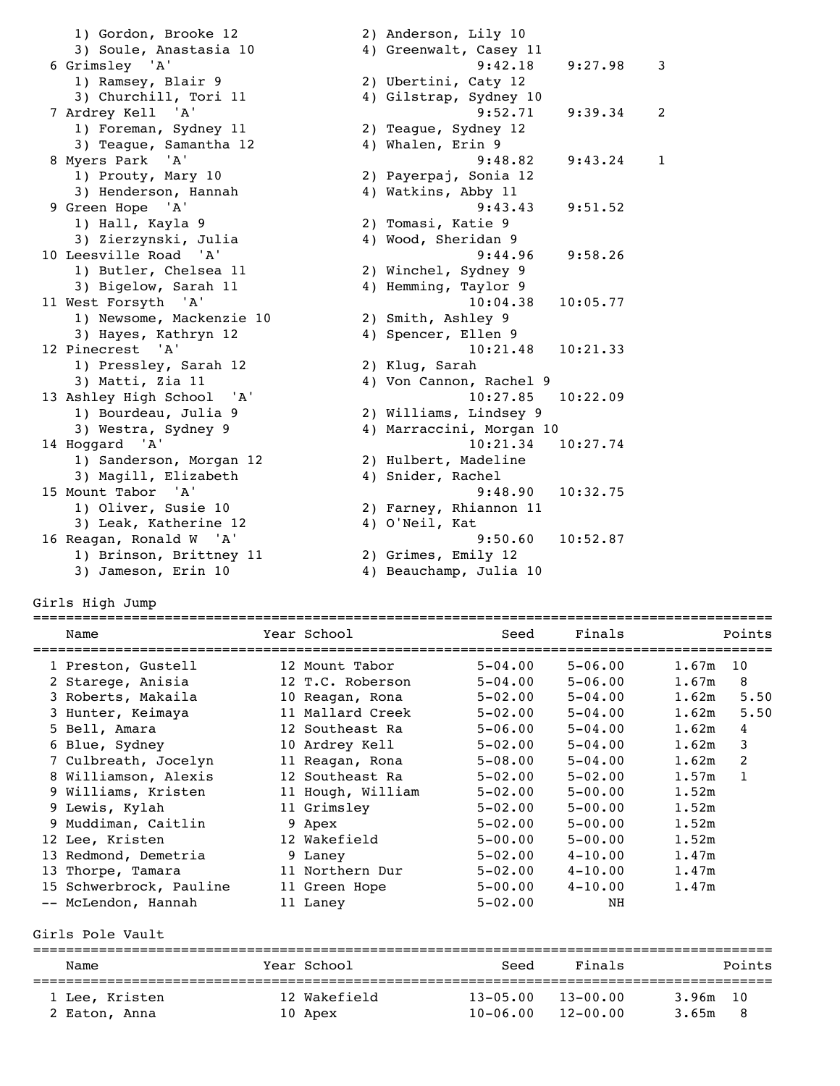| 1) Gordon, Brooke 12      | 2) Anderson, Lily 10               |  |
|---------------------------|------------------------------------|--|
| 3) Soule, Anastasia 10    | 4) Greenwalt, Casey 11             |  |
| 6 Grimsley 'A'            | 9:42.18<br>9:27.98<br>3            |  |
| 1) Ramsey, Blair 9        | 2) Ubertini, Caty 12               |  |
| 3) Churchill, Tori 11     | 4) Gilstrap, Sydney 10             |  |
| 7 Ardrey Kell 'A'         | 9:52.71<br>9:39.34<br>2            |  |
| 1) Foreman, Sydney 11     | 2) Teague, Sydney 12               |  |
| 3) Teague, Samantha 12    | 4) Whalen, Erin 9                  |  |
| 8 Myers Park 'A'          | 9:48.82<br>9:43.24<br>$\mathbf{1}$ |  |
| 1) Prouty, Mary 10        | 2) Payerpaj, Sonia 12              |  |
| 3) Henderson, Hannah      | 4) Watkins, Abby 11                |  |
| 9 Green Hope 'A'          | 9:43.43<br>9:51.52                 |  |
| 1) Hall, Kayla 9          | 2) Tomasi, Katie 9                 |  |
| 3) Zierzynski, Julia      | 4) Wood, Sheridan 9                |  |
| 10 Leesville Road 'A'     | 9:44.96<br>9:58.26                 |  |
| 1) Butler, Chelsea 11     | 2) Winchel, Sydney 9               |  |
| 3) Bigelow, Sarah 11      | 4) Hemming, Taylor 9               |  |
| 11 West Forsyth 'A'       | 10:04.38<br>10:05.77               |  |
| 1) Newsome, Mackenzie 10  | 2) Smith, Ashley 9                 |  |
| 3) Hayes, Kathryn 12      | 4) Spencer, Ellen 9                |  |
| 12 Pinecrest 'A'          | 10:21.48<br>10:21.33               |  |
| 1) Pressley, Sarah 12     | 2) Klug, Sarah                     |  |
| 3) Matti, Zia 11          | 4) Von Cannon, Rachel 9            |  |
| 13 Ashley High School 'A' | 10:27.85<br>10:22.09               |  |
| 1) Bourdeau, Julia 9      | 2) Williams, Lindsey 9             |  |
| 3) Westra, Sydney 9       | 4) Marraccini, Morgan 10           |  |
| 14 Hoggard 'A'            | 10:21.34<br>10:27.74               |  |
| 1) Sanderson, Morgan 12   | 2) Hulbert, Madeline               |  |
| 3) Magill, Elizabeth      | 4) Snider, Rachel                  |  |
| 15 Mount Tabor 'A'        | 9:48.90<br>10:32.75                |  |
| 1) Oliver, Susie 10       | 2) Farney, Rhiannon 11             |  |
| 3) Leak, Katherine 12     | 4) O'Neil, Kat                     |  |
| 16 Reagan, Ronald W 'A'   | 9:50.60<br>10:52.87                |  |
| 1) Brinson, Brittney 11   | 2) Grimes, Emily 12                |  |
| 3) Jameson, Erin 10       | 4) Beauchamp, Julia 10             |  |

Girls High Jump

| Name                    | Year School       | Seed        | Finals      |       | Points       |
|-------------------------|-------------------|-------------|-------------|-------|--------------|
| 1 Preston, Gustell      | 12 Mount Tabor    | $5 - 04.00$ | $5 - 06.00$ | 1.67m | 10           |
| 2 Starege, Anisia       | 12 T.C. Roberson  | $5 - 04.00$ | $5 - 06.00$ | 1.67m | 8            |
| 3 Roberts, Makaila      | 10 Reagan, Rona   | $5 - 02.00$ | $5 - 04.00$ | 1.62m | 5.50         |
| 3 Hunter, Keimaya       | 11 Mallard Creek  | $5 - 02.00$ | $5 - 04.00$ | 1.62m | 5.50         |
| 5 Bell, Amara           | 12 Southeast Ra   | $5 - 06.00$ | $5 - 04.00$ | 1.62m | 4            |
| 6 Blue, Sydney          | 10 Ardrey Kell    | $5 - 02.00$ | $5 - 04.00$ | 1.62m | 3            |
| 7 Culbreath, Jocelyn    | 11 Reagan, Rona   | $5 - 08.00$ | $5 - 04.00$ | 1.62m | 2            |
| 8 Williamson, Alexis    | 12 Southeast Ra   | $5 - 02.00$ | $5 - 02.00$ | 1.57m | $\mathbf{1}$ |
| 9 Williams, Kristen     | 11 Hough, William | $5 - 02.00$ | $5 - 00.00$ | 1.52m |              |
| 9 Lewis, Kylah          | 11 Grimsley       | $5 - 02.00$ | $5 - 00.00$ | 1.52m |              |
| 9 Muddiman, Caitlin     | 9 Apex            | $5 - 02.00$ | $5 - 00.00$ | 1.52m |              |
| 12 Lee, Kristen         | 12 Wakefield      | $5 - 00.00$ | $5 - 00.00$ | 1.52m |              |
| 13 Redmond, Demetria    | 9 Laney           | $5 - 02.00$ | $4 - 10.00$ | 1.47m |              |
| 13 Thorpe, Tamara       | 11 Northern Dur   | $5 - 02.00$ | $4 - 10.00$ | 1.47m |              |
| 15 Schwerbrock, Pauline | 11 Green Hope     | $5 - 00.00$ | $4 - 10.00$ | 1.47m |              |
| -- McLendon, Hannah     | 11 Laney          | $5 - 02.00$ | NH          |       |              |
| Girls Pole Vault        |                   |             |             |       |              |

| Name                            | Year School             | Seed                         | Finals                       | Points                   |
|---------------------------------|-------------------------|------------------------------|------------------------------|--------------------------|
| 1 Lee, Kristen<br>2 Eaton, Anna | 12 Wakefield<br>10 Apex | $13 - 05.00$<br>$10 - 06.00$ | $13 - 00.00$<br>$12 - 00.00$ | 3.96m 10<br>3.65m<br>- 8 |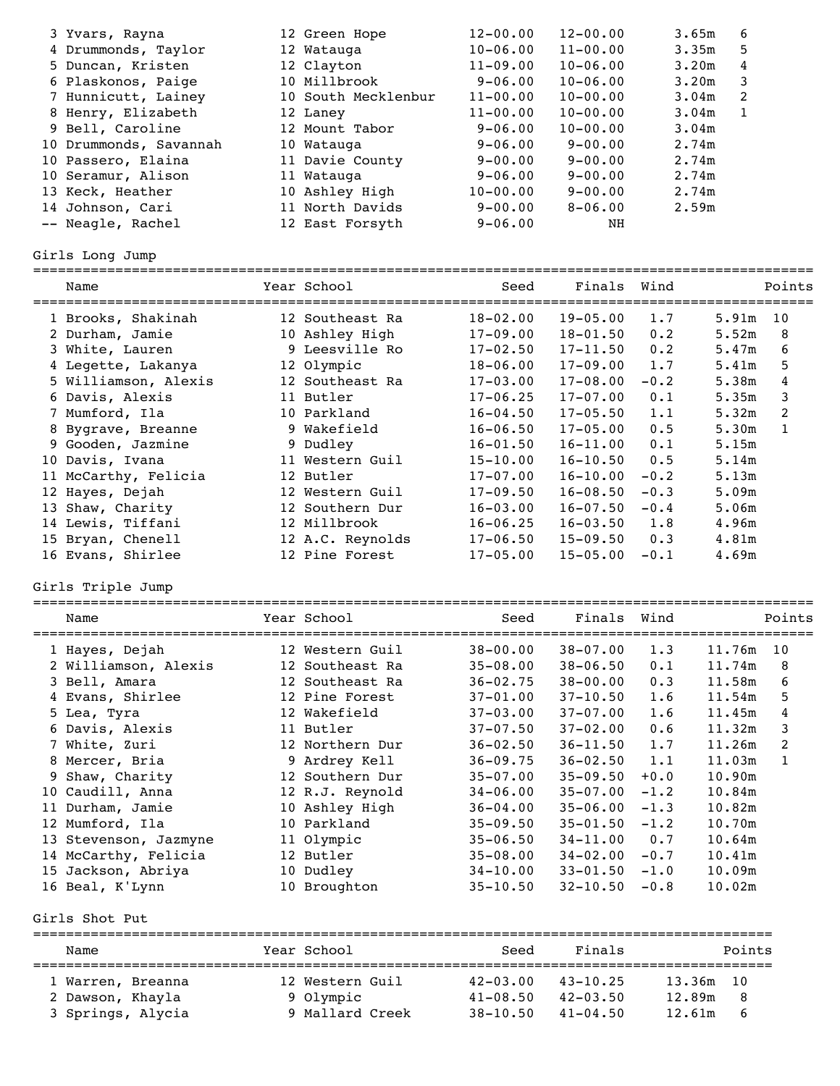|    | 3 Yvars, Rayna                     | 12 Green Hope       | $12 - 00.00$                 | $12 - 00.00$                 |        | 3.65m<br>6            |              |
|----|------------------------------------|---------------------|------------------------------|------------------------------|--------|-----------------------|--------------|
|    | 4 Drummonds, Taylor                | 12 Watauga          | $10 - 06.00$                 | $11 - 00.00$                 |        | 5<br>3.35m            |              |
|    | 5 Duncan, Kristen                  | 12 Clayton          | $11 - 09.00$                 | $10 - 06.00$                 |        | 4<br>3.20m            |              |
|    | 6 Plaskonos, Paige                 | 10 Millbrook        | $9 - 06.00$                  | $10 - 06.00$                 |        | 3<br>3.20m            |              |
|    | 7 Hunnicutt, Lainey                | 10 South Mecklenbur | $11 - 00.00$                 | $10 - 00.00$                 |        | 2<br>3.04m            |              |
|    | 8 Henry, Elizabeth                 | 12 Laney            | $11 - 00.00$                 | $10 - 00.00$                 |        | $\mathbf{1}$<br>3.04m |              |
|    | 9 Bell, Caroline                   | 12 Mount Tabor      | $9 - 06.00$                  | $10 - 00.00$                 |        | 3.04m                 |              |
|    | 10 Drummonds, Savannah             | 10 Watauga          | $9 - 06.00$                  | $9 - 00.00$                  |        | 2.74m                 |              |
|    | 10 Passero, Elaina                 | 11 Davie County     | $9 - 00.00$                  | $9 - 00.00$                  |        | 2.74m                 |              |
|    | 10 Seramur, Alison                 | 11 Watauga          | $9 - 06.00$                  | $9 - 00.00$                  |        | 2.74m                 |              |
|    | 13 Keck, Heather                   | 10 Ashley High      | $10 - 00.00$                 | $9 - 00.00$                  |        | 2.74m                 |              |
|    | 14 Johnson, Cari                   | 11 North Davids     | $9 - 00.00$                  | $8 - 06.00$                  |        | 2.59m                 |              |
|    | -- Neagle, Rachel                  | 12 East Forsyth     | $9 - 06.00$                  | NH                           |        |                       |              |
|    | Girls Long Jump                    |                     |                              |                              |        |                       |              |
|    | ===================<br>Name        | Year School         | =================<br>Seed    | Finals                       | Wind   |                       | Points       |
|    | 1 Brooks, Shakinah                 | 12 Southeast Ra     | $18 - 02.00$                 | $19 - 05.00$                 | 1.7    | 5.91m                 | 10           |
|    | 2 Durham, Jamie                    | 10 Ashley High      | $17 - 09.00$                 | $18 - 01.50$                 | 0.2    | 5.52m                 | 8            |
|    | 3 White, Lauren                    | 9 Leesville Ro      | $17 - 02.50$                 | $17 - 11.50$                 | 0.2    | 5.47m                 | 6            |
|    | 4 Legette, Lakanya                 | 12 Olympic          | $18 - 06.00$                 | $17 - 09.00$                 | 1.7    | 5.41m                 | 5            |
|    | 5 Williamson, Alexis               | 12 Southeast Ra     | $17 - 03.00$                 | $17 - 08.00$                 | $-0.2$ | 5.38m                 | 4            |
|    | 6 Davis, Alexis                    | 11 Butler           | $17 - 06.25$                 | $17 - 07.00$                 | 0.1    | 5.35m                 | 3            |
|    | 7 Mumford, Ila                     | 10 Parkland         | $16 - 04.50$                 | $17 - 05.50$                 | 1.1    | 5.32m                 | 2            |
|    | 8 Bygrave, Breanne                 | 9 Wakefield         | $16 - 06.50$                 | $17 - 05.00$                 | 0.5    | 5.30m                 | $\mathbf{1}$ |
|    | 9 Gooden, Jazmine                  | 9 Dudley            | $16 - 01.50$                 | $16 - 11.00$                 | 0.1    | 5.15m                 |              |
|    |                                    | 11 Western Guil     | $15 - 10.00$                 | $16 - 10.50$                 | 0.5    | 5.14m                 |              |
|    | 10 Davis, Ivana                    | 12 Butler           | $17 - 07.00$                 | $16 - 10.00$                 | $-0.2$ | 5.13m                 |              |
|    | 11 McCarthy, Felicia               |                     |                              |                              |        |                       |              |
|    | 12 Hayes, Dejah                    | 12 Western Guil     | $17 - 09.50$                 | $16 - 08.50$                 | $-0.3$ | 5.09m                 |              |
|    | 13 Shaw, Charity                   | 12 Southern Dur     | $16 - 03.00$                 | $16 - 07.50$                 | $-0.4$ | 5.06m                 |              |
|    | 14 Lewis, Tiffani                  | 12 Millbrook        | $16 - 06.25$                 | $16 - 03.50$                 | 1.8    | 4.96m                 |              |
|    | 15 Bryan, Chenell                  | 12 A.C. Reynolds    | $17 - 06.50$                 | $15 - 09.50$                 | 0.3    | 4.81m                 |              |
|    | 16 Evans, Shirlee                  | 12 Pine Forest      | $17 - 05.00$                 | $15 - 05.00$                 | $-0.1$ | 4.69m                 |              |
|    | Girls Triple Jump                  |                     |                              |                              |        |                       |              |
|    | Name                               | Year School         | Seed                         | Finals                       | Wind   |                       | Points       |
|    | 1 Hayes, Dejah                     | 12 Western Guil     | $38 - 00.00$                 | $38 - 07.00$                 | 1.3    | 11.76m                | 10           |
|    | 2 Williamson, Alexis               | 12 Southeast Ra     | $35 - 08.00$                 | $38 - 06.50$                 | 0.1    | 11.74m                | 8            |
|    | 3 Bell, Amara                      | 12 Southeast Ra     | $36 - 02.75$                 | $38 - 00.00$                 | 0.3    | 11.58m                | 6            |
|    | 4 Evans, Shirlee                   | 12 Pine Forest      | $37 - 01.00$                 | $37 - 10.50$                 | 1.6    | 11.54m                | 5            |
|    | 5 Lea, Tyra                        | 12 Wakefield        | $37 - 03.00$                 | $37 - 07.00$                 | 1.6    | 11.45m                | 4            |
|    | 6 Davis, Alexis                    | 11 Butler           | $37 - 07.50$                 | $37 - 02.00$                 | 0.6    | 11.32m                | 3            |
|    | 7 White, Zuri                      | 12 Northern Dur     | $36 - 02.50$                 | $36 - 11.50$                 | 1.7    | 11.26m                | 2            |
|    | 8 Mercer, Bria                     | 9 Ardrey Kell       | $36 - 09.75$                 | $36 - 02.50$                 | 1.1    | 11.03m                | $\mathbf{1}$ |
| 9  | Shaw, Charity                      | 12 Southern Dur     | $35 - 07.00$                 | $35 - 09.50$                 | $+0.0$ | 10.90m                |              |
|    | 10 Caudill, Anna                   | 12 R.J. Reynold     | $34 - 06.00$                 | $35 - 07.00$                 | $-1.2$ | 10.84m                |              |
|    | 11 Durham, Jamie                   | 10 Ashley High      | $36 - 04.00$                 | $35 - 06.00$                 | $-1.3$ | 10.82m                |              |
|    | 12 Mumford, Ila                    | 10 Parkland         | $35 - 09.50$                 | $35 - 01.50$                 | $-1.2$ | 10.70m                |              |
|    | 13 Stevenson, Jazmyne              | 11 Olympic          | $35 - 06.50$                 | $34 - 11.00$                 | 0.7    | 10.64m                |              |
| 14 | McCarthy, Felicia                  | 12 Butler           | $35 - 08.00$                 | $34 - 02.00$                 | $-0.7$ | 10.41m                |              |
| 15 |                                    | 10 Dudley           |                              |                              | $-1.0$ |                       |              |
|    | Jackson, Abriya<br>16 Beal, K'Lynn | 10 Broughton        | $34 - 10.00$<br>$35 - 10.50$ | $33 - 01.50$<br>$32 - 10.50$ | $-0.8$ | 10.09m<br>10.02m      |              |
|    | Girls Shot Put                     |                     |                              |                              |        |                       |              |

========================================================================================== Name Year School Seed Finals Points ========================================================================================== 1 Warren, Breanna 12 Western Guil 42-03.00 43-10.25 13.36m 10 2 Dawson, Khayla 9 Olympic 41-08.50 42-03.50 12.89m 8 3 Springs, Alycia 9 Mallard Creek 38-10.50 41-04.50 12.61m 6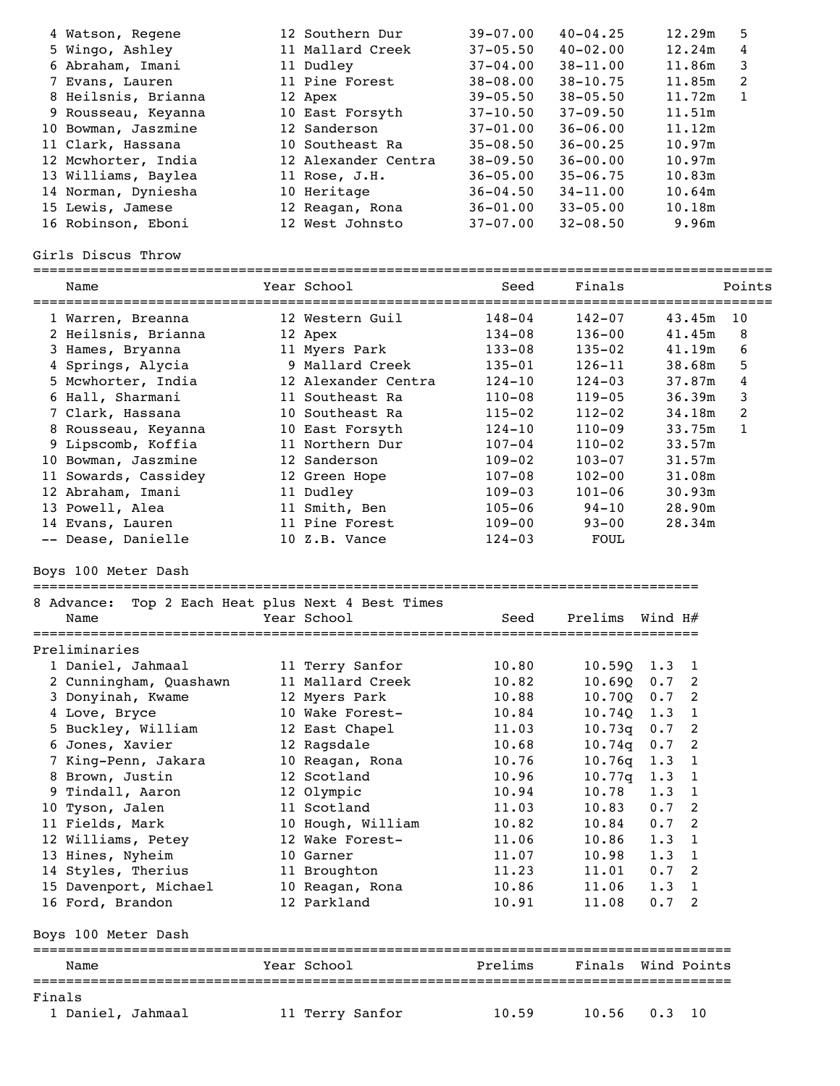|        | 4 Watson, Regene<br>5 Wingo, Ashley<br>6 Abraham, Imani<br>7 Evans, Lauren<br>8 Heilsnis, Brianna<br>9 Rousseau, Keyanna<br>10 Bowman, Jaszmine<br>11 Clark, Hassana<br>12 Mcwhorter, India<br>13 Williams, Baylea<br>14 Norman, Dyniesha<br>15 Lewis, Jamese<br>16 Robinson, Eboni<br>Girls Discus Throw | 12 Southern Dur<br>11 Mallard Creek<br>11 Dudley<br>11 Pine Forest<br>12 Apex<br>10 East Forsyth<br>12 Sanderson<br>10 Southeast Ra<br>12 Alexander Centra<br>11 Rose, J.H.<br>10 Heritage<br>12 Reagan, Rona<br>12 West Johnsto | $39 - 07.00$<br>$37 - 05.50$<br>$37 - 04.00$<br>$38 - 08.00$<br>$39 - 05.50$<br>$37 - 10.50$<br>$37 - 01.00$<br>$35 - 08.50$<br>$38 - 09.50$<br>$36 - 05.00$<br>$36 - 04.50$<br>$36 - 01.00$<br>$37 - 07.00$ | $40 - 04.25$<br>$40 - 02.00$<br>$38 - 11.00$<br>$38 - 10.75$<br>$38 - 05.50$<br>$37 - 09.50$<br>$36 - 06.00$<br>$36 - 00.25$<br>$36 - 00.00$<br>$35 - 06.75$<br>$34 - 11.00$<br>$33 - 05.00$<br>$32 - 08.50$ | 12.29m<br>12.24m<br>11.86m<br>11.85m<br>11.72m<br>11.51m<br>11.12m<br>10.97m<br>10.97m<br>10.83m<br>10.64m<br>10.18m<br>9.96m | 5<br>4<br>3<br>2<br>$\mathbf{1}$ |
|--------|-----------------------------------------------------------------------------------------------------------------------------------------------------------------------------------------------------------------------------------------------------------------------------------------------------------|----------------------------------------------------------------------------------------------------------------------------------------------------------------------------------------------------------------------------------|--------------------------------------------------------------------------------------------------------------------------------------------------------------------------------------------------------------|--------------------------------------------------------------------------------------------------------------------------------------------------------------------------------------------------------------|-------------------------------------------------------------------------------------------------------------------------------|----------------------------------|
|        | Name                                                                                                                                                                                                                                                                                                      | Year School                                                                                                                                                                                                                      | Seed                                                                                                                                                                                                         | Finals                                                                                                                                                                                                       |                                                                                                                               | Points                           |
|        |                                                                                                                                                                                                                                                                                                           |                                                                                                                                                                                                                                  |                                                                                                                                                                                                              |                                                                                                                                                                                                              |                                                                                                                               |                                  |
|        | 1 Warren, Breanna                                                                                                                                                                                                                                                                                         | 12 Western Guil                                                                                                                                                                                                                  | $148 - 04$                                                                                                                                                                                                   | $142 - 07$                                                                                                                                                                                                   | 43.45m                                                                                                                        | 10                               |
|        | 2 Heilsnis, Brianna<br>3 Hames, Bryanna                                                                                                                                                                                                                                                                   | 12 Apex<br>11 Myers Park                                                                                                                                                                                                         | $134 - 08$<br>$133 - 08$                                                                                                                                                                                     | $136 - 00$<br>$135 - 02$                                                                                                                                                                                     | 41.45m<br>41.19m                                                                                                              | 8<br>6                           |
|        | 4 Springs, Alycia                                                                                                                                                                                                                                                                                         | 9 Mallard Creek                                                                                                                                                                                                                  | 135-01                                                                                                                                                                                                       | $126 - 11$                                                                                                                                                                                                   | 38.68m                                                                                                                        | 5                                |
|        | 5 Mcwhorter, India                                                                                                                                                                                                                                                                                        | 12 Alexander Centra                                                                                                                                                                                                              | 124-10                                                                                                                                                                                                       | $124 - 03$                                                                                                                                                                                                   | 37.87m                                                                                                                        | 4                                |
|        | 6 Hall, Sharmani                                                                                                                                                                                                                                                                                          | 11 Southeast Ra                                                                                                                                                                                                                  | $110 - 08$                                                                                                                                                                                                   | $119 - 05$                                                                                                                                                                                                   | 36.39m                                                                                                                        | 3                                |
|        | 7 Clark, Hassana                                                                                                                                                                                                                                                                                          | 10 Southeast Ra                                                                                                                                                                                                                  | $115 - 02$                                                                                                                                                                                                   | $112 - 02$                                                                                                                                                                                                   | 34.18m                                                                                                                        | 2                                |
|        | 8 Rousseau, Keyanna                                                                                                                                                                                                                                                                                       | 10 East Forsyth                                                                                                                                                                                                                  | $124 - 10$                                                                                                                                                                                                   | $110 - 09$                                                                                                                                                                                                   | 33.75m                                                                                                                        | $\mathbf{1}$                     |
|        | 9 Lipscomb, Koffia                                                                                                                                                                                                                                                                                        | 11 Northern Dur                                                                                                                                                                                                                  | $107 - 04$                                                                                                                                                                                                   | $110 - 02$                                                                                                                                                                                                   | 33.57m                                                                                                                        |                                  |
|        | 10 Bowman, Jaszmine                                                                                                                                                                                                                                                                                       | 12 Sanderson                                                                                                                                                                                                                     | $109 - 02$                                                                                                                                                                                                   | $103 - 07$                                                                                                                                                                                                   | 31.57m                                                                                                                        |                                  |
|        | 11 Sowards, Cassidey                                                                                                                                                                                                                                                                                      | 12 Green Hope                                                                                                                                                                                                                    | $107 - 08$                                                                                                                                                                                                   | $102 - 00$                                                                                                                                                                                                   | 31.08m                                                                                                                        |                                  |
|        | 12 Abraham, Imani                                                                                                                                                                                                                                                                                         | 11 Dudley                                                                                                                                                                                                                        | $109 - 03$                                                                                                                                                                                                   | $101 - 06$                                                                                                                                                                                                   | 30.93m                                                                                                                        |                                  |
|        | 13 Powell, Alea                                                                                                                                                                                                                                                                                           | 11 Smith, Ben                                                                                                                                                                                                                    | $105 - 06$                                                                                                                                                                                                   | $94 - 10$                                                                                                                                                                                                    | 28.90m                                                                                                                        |                                  |
|        | 14 Evans, Lauren                                                                                                                                                                                                                                                                                          | 11 Pine Forest                                                                                                                                                                                                                   | $109 - 00$                                                                                                                                                                                                   | $93 - 00$                                                                                                                                                                                                    | 28.34m                                                                                                                        |                                  |
|        | -- Dease, Danielle                                                                                                                                                                                                                                                                                        | 10 Z.B. Vance                                                                                                                                                                                                                    | $124 - 03$                                                                                                                                                                                                   | <b>FOUL</b>                                                                                                                                                                                                  |                                                                                                                               |                                  |
|        | Boys 100 Meter Dash<br>8 Advance:<br>Name                                                                                                                                                                                                                                                                 | ==========================<br>Top 2 Each Heat plus Next 4 Best Times<br>Year School                                                                                                                                              | Seed                                                                                                                                                                                                         | Prelims                                                                                                                                                                                                      | Wind $H#$                                                                                                                     |                                  |
|        | Preliminaries                                                                                                                                                                                                                                                                                             |                                                                                                                                                                                                                                  |                                                                                                                                                                                                              | =====================                                                                                                                                                                                        |                                                                                                                               |                                  |
|        | 1 Daniel, Jahmaal                                                                                                                                                                                                                                                                                         |                                                                                                                                                                                                                                  | 10.80                                                                                                                                                                                                        | 10.59Q                                                                                                                                                                                                       | 1.3<br>1                                                                                                                      |                                  |
|        | 2 Cunningham, Quashawn                                                                                                                                                                                                                                                                                    | 11 Terry Sanfor<br>11 Mallard Creek                                                                                                                                                                                              | 10.82                                                                                                                                                                                                        | 10.69Q                                                                                                                                                                                                       | 0.7<br>2                                                                                                                      |                                  |
|        | 3 Donyinah, Kwame                                                                                                                                                                                                                                                                                         | 12 Myers Park                                                                                                                                                                                                                    | 10.88                                                                                                                                                                                                        |                                                                                                                                                                                                              | $10.700$ $0.7$ 2                                                                                                              |                                  |
|        | 4 Love, Bryce                                                                                                                                                                                                                                                                                             | 10 Wake Forest-                                                                                                                                                                                                                  | 10.84                                                                                                                                                                                                        | $10.74Q$ 1.3                                                                                                                                                                                                 | $\overline{1}$                                                                                                                |                                  |
|        | 5 Buckley, William                                                                                                                                                                                                                                                                                        | 12 East Chapel                                                                                                                                                                                                                   | 11.03                                                                                                                                                                                                        | $10.73q$ 0.7                                                                                                                                                                                                 | $\overline{2}$                                                                                                                |                                  |
|        | 6 Jones, Xavier                                                                                                                                                                                                                                                                                           | 12 Ragsdale                                                                                                                                                                                                                      | 10.68                                                                                                                                                                                                        | 10.74q                                                                                                                                                                                                       | $\overline{\phantom{a}}$<br>0.7                                                                                               |                                  |
|        | 7 King-Penn, Jakara                                                                                                                                                                                                                                                                                       | 10 Reagan, Rona                                                                                                                                                                                                                  | 10.76                                                                                                                                                                                                        | 10.76q                                                                                                                                                                                                       | 1.3<br>$\mathbf{1}$                                                                                                           |                                  |
|        | 8 Brown, Justin                                                                                                                                                                                                                                                                                           | 12 Scotland                                                                                                                                                                                                                      | 10.96                                                                                                                                                                                                        | 10.77q                                                                                                                                                                                                       | 1.3<br>$\mathbf{1}$                                                                                                           |                                  |
|        | 9 Tindall, Aaron                                                                                                                                                                                                                                                                                          | 12 Olympic                                                                                                                                                                                                                       | 10.94                                                                                                                                                                                                        | 10.78                                                                                                                                                                                                        | $1.3 \quad 1$                                                                                                                 |                                  |
|        | 10 Tyson, Jalen                                                                                                                                                                                                                                                                                           | 11 Scotland                                                                                                                                                                                                                      | 11.03                                                                                                                                                                                                        | 10.83                                                                                                                                                                                                        | 0.72                                                                                                                          |                                  |
|        | 11 Fields, Mark                                                                                                                                                                                                                                                                                           | 10 Hough, William                                                                                                                                                                                                                | 10.82                                                                                                                                                                                                        | 10.84                                                                                                                                                                                                        | 0.7 <sub>2</sub>                                                                                                              |                                  |
|        | 12 Williams, Petey                                                                                                                                                                                                                                                                                        | 12 Wake Forest-                                                                                                                                                                                                                  | 11.06                                                                                                                                                                                                        | 10.86                                                                                                                                                                                                        | 1.3<br>$\mathbf{1}$                                                                                                           |                                  |
|        | 13 Hines, Nyheim                                                                                                                                                                                                                                                                                          | 10 Garner                                                                                                                                                                                                                        | 11.07                                                                                                                                                                                                        | 10.98                                                                                                                                                                                                        | 1.3<br>- 1                                                                                                                    |                                  |
|        | 14 Styles, Therius                                                                                                                                                                                                                                                                                        | 11 Broughton                                                                                                                                                                                                                     | 11.23                                                                                                                                                                                                        | 11.01                                                                                                                                                                                                        | $0.7-2$                                                                                                                       |                                  |
|        | 15 Davenport, Michael                                                                                                                                                                                                                                                                                     | 10 Reagan, Rona                                                                                                                                                                                                                  | 10.86                                                                                                                                                                                                        | 11.06                                                                                                                                                                                                        | 1.3<br>$\overline{1}$                                                                                                         |                                  |
|        | 16 Ford, Brandon                                                                                                                                                                                                                                                                                          | 12 Parkland                                                                                                                                                                                                                      | 10.91                                                                                                                                                                                                        | 11.08                                                                                                                                                                                                        | 0.7<br>2                                                                                                                      |                                  |
|        | Boys 100 Meter Dash                                                                                                                                                                                                                                                                                       |                                                                                                                                                                                                                                  |                                                                                                                                                                                                              |                                                                                                                                                                                                              |                                                                                                                               |                                  |
|        | Name                                                                                                                                                                                                                                                                                                      | Year School                                                                                                                                                                                                                      | Prelims                                                                                                                                                                                                      | Finals                                                                                                                                                                                                       | Wind Points                                                                                                                   |                                  |
|        |                                                                                                                                                                                                                                                                                                           |                                                                                                                                                                                                                                  |                                                                                                                                                                                                              |                                                                                                                                                                                                              |                                                                                                                               |                                  |
| Finals | 1 Daniel, Jahmaal                                                                                                                                                                                                                                                                                         | 11 Terry Sanfor                                                                                                                                                                                                                  | 10.59                                                                                                                                                                                                        | 10.56                                                                                                                                                                                                        | 0.3<br>10                                                                                                                     |                                  |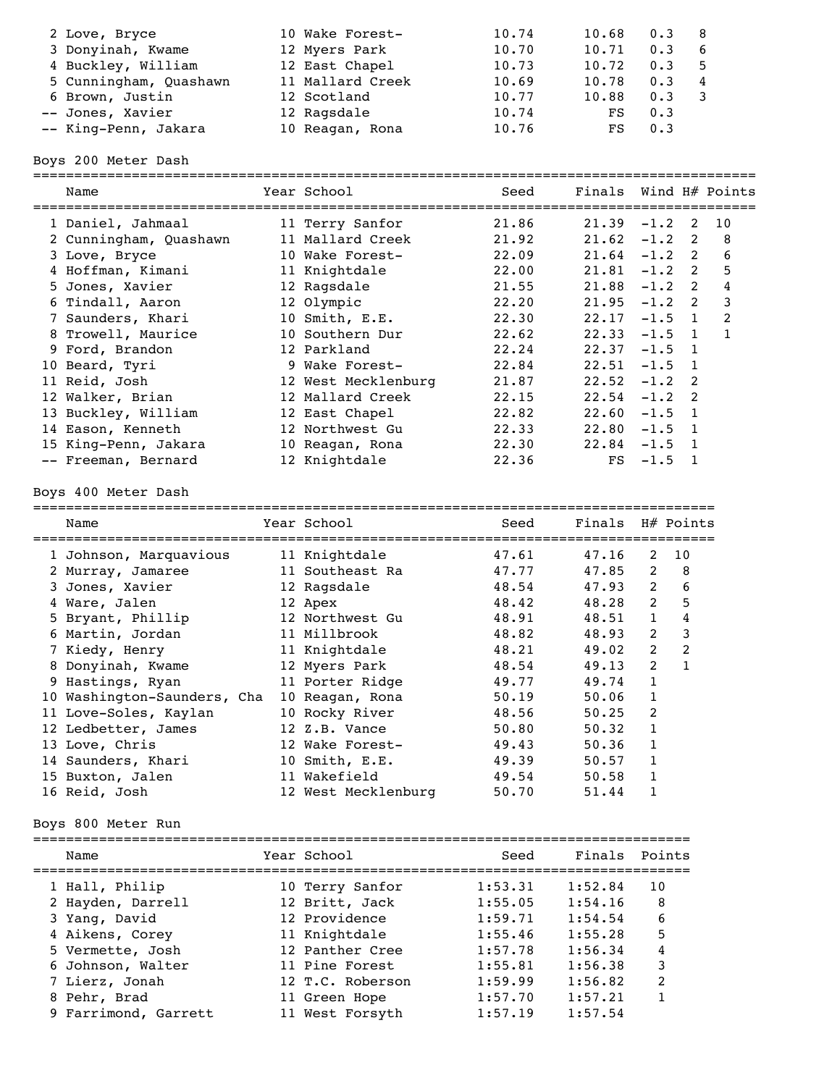| 2 Love, Bryce          | 10 Wake Forest-  | 10.74 | 10.68 | 0.3 | - 8 |
|------------------------|------------------|-------|-------|-----|-----|
| 3 Donyinah, Kwame      | 12 Myers Park    | 10.70 | 10.71 | 0.3 | -6  |
| 4 Buckley, William     | 12 East Chapel   | 10.73 | 10.72 | 0.3 | -5  |
| 5 Cunningham, Quashawn | 11 Mallard Creek | 10.69 | 10.78 | 0.3 | -4  |
| 6 Brown, Justin        | 12 Scotland      | 10.77 | 10.88 | 0.3 |     |
| -- Jones, Xavier       | 12 Ragsdale      | 10.74 | FS    | 0.3 |     |
| -- King-Penn, Jakara   | 10 Reagan, Rona  | 10.76 | FS.   | 0.3 |     |
|                        |                  |       |       |     |     |

Boys 200 Meter Dash

| Name                        | Year School         | Seed    | Finals Wind H# Points |                |                |                |
|-----------------------------|---------------------|---------|-----------------------|----------------|----------------|----------------|
| 1 Daniel, Jahmaal           | 11 Terry Sanfor     | 21.86   | $21.39 -1.2$ 2        |                |                | 10             |
| 2 Cunningham, Quashawn      | 11 Mallard Creek    | 21.92   | $21.62 - 1.2$         |                | 2              | 8              |
| 3 Love, Bryce               | 10 Wake Forest-     | 22.09   | $21.64 - 1.2$ 2       |                |                | 6              |
| 4 Hoffman, Kimani           | 11 Knightdale       | 22.00   | $21.81 - 1.2$ 2       |                |                | 5              |
| 5 Jones, Xavier             | 12 Ragsdale         | 21.55   | $21.88 - 1.2$ 2       |                |                | $\pmb{4}$      |
| 6 Tindall, Aaron            | 12 Olympic          | 22.20   | $21.95 -1.2$ 2        |                |                | $\mathbf{3}$   |
| 7 Saunders, Khari           | 10 Smith, E.E.      | 22.30   | 22.17                 | $-1.5$ 1       |                | $\overline{c}$ |
| 8 Trowell, Maurice          | 10 Southern Dur     | 22.62   | 22.33                 | $-1.5$         | 1              | $\mathbf{1}$   |
| 9 Ford, Brandon             | 12 Parkland         | 22.24   | 22.37                 | $-1.5$         | 1              |                |
| 10 Beard, Tyri              | 9 Wake Forest-      | 22.84   | 22.51                 | $-1.5$         | 1              |                |
| 11 Reid, Josh               | 12 West Mecklenburg | 21.87   | $22.52 - 1.2$         |                | 2              |                |
| 12 Walker, Brian            | 12 Mallard Creek    | 22.15   | $22.54 - 1.2$         |                | 2              |                |
| 13 Buckley, William         | 12 East Chapel      | 22.82   | $22.60 -1.5$          |                | $\mathbf{1}$   |                |
| 14 Eason, Kenneth           | 12 Northwest Gu     | 22.33   | $22.80 - 1.5$         |                | 1              |                |
| 15 King-Penn, Jakara        | 10 Reagan, Rona     | 22.30   | $22.84 - 1.5$         |                | 1              |                |
| -- Freeman, Bernard         | 12 Knightdale       | 22.36   | FS                    | $-1.5$         | - 1            |                |
| Boys 400 Meter Dash         |                     |         |                       |                |                |                |
|                             |                     |         |                       |                |                |                |
| Name                        | Year School         | Seed    | Finals                | H# Points      |                |                |
| 1 Johnson, Marquavious      | 11 Knightdale       | 47.61   | 47.16                 | 2              | 10             |                |
| 2 Murray, Jamaree           | 11 Southeast Ra     | 47.77   | 47.85                 | $\mathbf{2}$   | 8              |                |
| 3 Jones, Xavier             | 12 Ragsdale         | 48.54   | 47.93                 | $\overline{2}$ | 6              |                |
| 4 Ware, Jalen               | 12 Apex             | 48.42   | 48.28                 | $\overline{2}$ | 5              |                |
| 5 Bryant, Phillip           | 12 Northwest Gu     | 48.91   | 48.51                 | $\mathbf{1}$   | $\pmb{4}$      |                |
| 6 Martin, Jordan            | 11 Millbrook        | 48.82   | 48.93                 | $\overline{2}$ | 3              |                |
| 7 Kiedy, Henry              | 11 Knightdale       | 48.21   | 49.02                 | $\overline{2}$ | $\overline{c}$ |                |
| 8 Donyinah, Kwame           | 12 Myers Park       | 48.54   | 49.13                 | $\overline{2}$ | $\mathbf{1}$   |                |
| 9 Hastings, Ryan            | 11 Porter Ridge     | 49.77   | 49.74                 | $\mathbf{1}$   |                |                |
| 10 Washington-Saunders, Cha | 10 Reagan, Rona     | 50.19   | 50.06                 | $\mathbf{1}$   |                |                |
| 11 Love-Soles, Kaylan       | 10 Rocky River      | 48.56   | 50.25                 | 2              |                |                |
| 12 Ledbetter, James         | 12 Z.B. Vance       | 50.80   | 50.32                 | $\mathbf{1}$   |                |                |
| 13 Love, Chris              | 12 Wake Forest-     | 49.43   | 50.36                 | 1              |                |                |
| 14 Saunders, Khari          | 10 Smith, E.E.      | 49.39   | 50.57                 | $\mathbf{1}$   |                |                |
| 15 Buxton, Jalen            | 11 Wakefield        | 49.54   | 50.58                 | $\mathbf{1}$   |                |                |
| 16 Reid, Josh               | 12 West Mecklenburg | 50.70   | 51.44                 | 1              |                |                |
| Boys 800 Meter Run          |                     |         |                       |                |                |                |
| Name                        | Year School         | Seed    | Finals                | Points         |                |                |
|                             |                     |         |                       |                |                |                |
| 1 Hall, Philip              | 10 Terry Sanfor     | 1:53.31 | 1:52.84               | 10             |                |                |
| 2 Hayden, Darrell           | 12 Britt, Jack      | 1:55.05 | 1:54.16               | 8              |                |                |
| 3 Yang, David               | 12 Providence       | 1:59.71 | 1:54.54               | 6              |                |                |
| 4 Aikens, Corey             | 11 Knightdale       | 1:55.46 | 1:55.28               | 5              |                |                |
| 5 Vermette, Josh            | 12 Panther Cree     | 1:57.78 | 1:56.34               | 4              |                |                |
| 6 Johnson, Walter           | 11 Pine Forest      | 1:55.81 | 1:56.38               | 3              |                |                |
| 7 Lierz, Jonah              | 12 T.C. Roberson    | 1:59.99 | 1:56.82               | 2              |                |                |
| 8 Pehr, Brad                | 11 Green Hope       | 1:57.70 | 1:57.21               | 1              |                |                |
| 9 Farrimond, Garrett        | 11 West Forsyth     | 1:57.19 | 1:57.54               |                |                |                |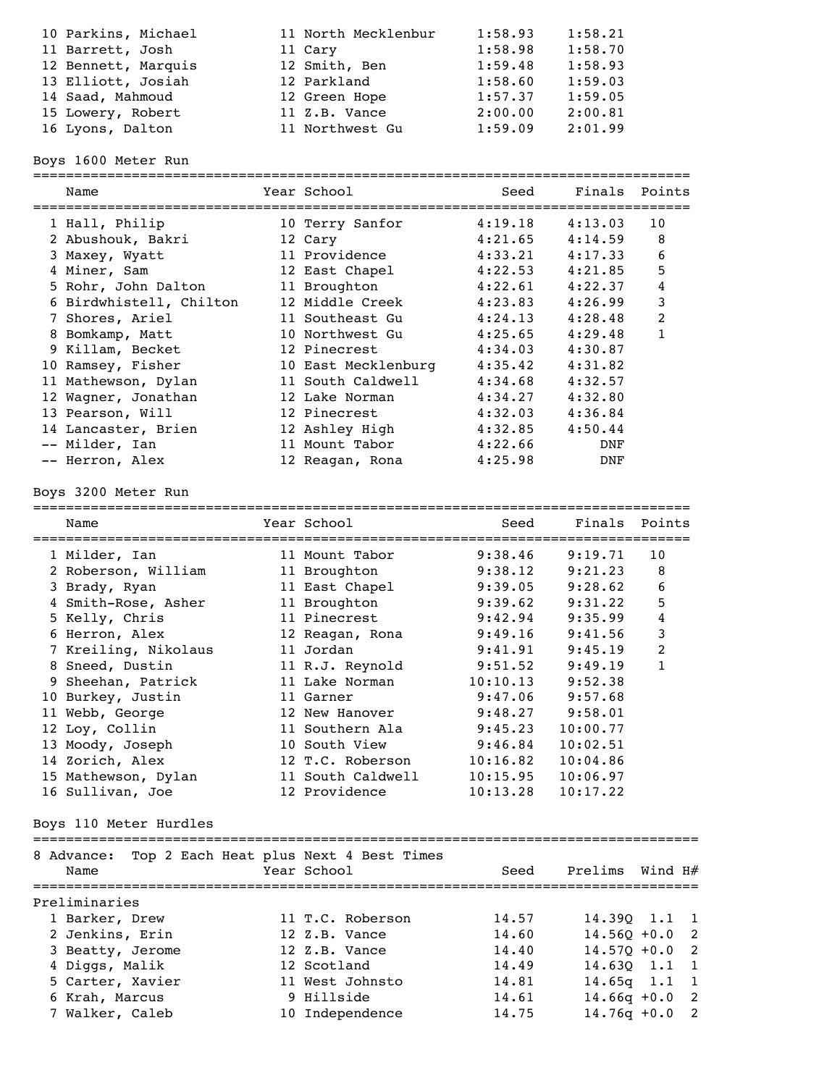| 10 Parkins, Michael | 11 North Mecklenbur | 1:58.93 | 1:58.21 |
|---------------------|---------------------|---------|---------|
| 11 Barrett, Josh    | 11 Cary             | 1:58.98 | 1:58.70 |
| 12 Bennett, Marquis | 12 Smith, Ben       | 1:59.48 | 1:58.93 |
| 13 Elliott, Josiah  | 12 Parkland         | 1:58.60 | 1:59.03 |
| 14 Saad, Mahmoud    | 12 Green Hope       | 1:57.37 | 1:59.05 |
| 15 Lowery, Robert   | 11 Z.B. Vance       | 2:00.00 | 2:00.81 |
| 16 Lyons, Dalton    | 11 Northwest Gu     | 1:59.09 | 2:01.99 |

Boys 1600 Meter Run

| ==========              | ============                           | ================================  |                |                |
|-------------------------|----------------------------------------|-----------------------------------|----------------|----------------|
| Name                    | Year School                            | Seed                              | Finals         | Points         |
| 1 Hall, Philip          | 10 Terry Sanfor                        | 4:19.18                           | 4:13.03        | 10             |
| 2 Abushouk, Bakri       | 12 Cary                                | 4:21.65                           | 4:14.59        | 8              |
| 3 Maxey, Wyatt          | 11 Providence                          | 4:33.21                           | 4:17.33        | 6              |
| 4 Miner, Sam            | 12 East Chapel                         | 4:22.53                           | 4:21.85        | 5              |
| 5 Rohr, John Dalton     | 11 Broughton                           | 4:22.61                           | 4:22.37        | 4              |
| 6 Birdwhistell, Chilton | 12 Middle Creek                        | 4:23.83                           | 4:26.99        | 3              |
| 7 Shores, Ariel         | 11 Southeast Gu                        | 4:24.13                           | 4:28.48        | $\overline{c}$ |
| 8 Bomkamp, Matt         | 10 Northwest Gu                        | 4:25.65                           | 4:29.48        | $\mathbf{1}$   |
| 9 Killam, Becket        | 12 Pinecrest                           | 4:34.03                           | 4:30.87        |                |
| 10 Ramsey, Fisher       | 10 East Mecklenburg                    | 4:35.42                           | 4:31.82        |                |
| 11 Mathewson, Dylan     | 11 South Caldwell                      | 4:34.68                           | 4:32.57        |                |
| 12 Wagner, Jonathan     | 12 Lake Norman                         | 4:34.27                           | 4:32.80        |                |
| 13 Pearson, Will        | 12 Pinecrest                           | 4:32.03                           | 4:36.84        |                |
| 14 Lancaster, Brien     | 12 Ashley High                         | 4:32.85                           | 4:50.44        |                |
| -- Milder, Ian          | 11 Mount Tabor                         | 4:22.66                           | DNF            |                |
| -- Herron, Alex         | 12 Reagan, Rona                        | 4:25.98                           | DNF            |                |
| Boys 3200 Meter Run     |                                        |                                   |                |                |
| Name                    | Year School                            | Seed                              | Finals         | Points         |
| 1 Milder, Ian           | 11 Mount Tabor                         | 9:38.46                           | 9:19.71        | 10             |
| 2 Roberson, William     | 11 Broughton                           | 9:38.12                           | 9:21.23        | 8              |
| 3 Brady, Ryan           | 11 East Chapel                         | 9:39.05                           | 9:28.62        | 6              |
| 4 Smith-Rose, Asher     | 11 Broughton                           | 9:39.62                           | 9:31.22        | 5              |
| 5 Kelly, Chris          | 11 Pinecrest                           | 9:42.94                           | 9:35.99        | 4              |
| 6 Herron, Alex          | 12 Reagan, Rona                        | 9:49.16                           | 9:41.56        | 3              |
| 7 Kreiling, Nikolaus    | 11 Jordan                              | 9:41.91                           | 9:45.19        | 2              |
| 8 Sneed, Dustin         | 11 R.J. Reynold                        | 9:51.52                           | 9:49.19        | $\mathbf{1}$   |
| 9 Sheehan, Patrick      | 11 Lake Norman                         | 10:10.13                          | 9:52.38        |                |
| 10 Burkey, Justin       | 11 Garner                              | 9:47.06                           | 9:57.68        |                |
| 11 Webb, George         | 12 New Hanover                         | 9:48.27                           | 9:58.01        |                |
| 12 Loy, Collin          | 11 Southern Ala                        | 9:45.23                           | 10:00.77       |                |
| 13 Moody, Joseph        | 10 South View                          | 9:46.84                           | 10:02.51       |                |
| 14 Zorich, Alex         | 12 T.C. Roberson                       | 10:16.82                          | 10:04.86       |                |
| 15 Mathewson, Dylan     | 11 South Caldwell                      | 10:15.95                          | 10:06.97       |                |
| 16 Sullivan, Joe        | 12 Providence                          | 10:13.28                          | 10:17.22       |                |
| Boys 110 Meter Hurdles  |                                        |                                   |                |                |
| 8 Advance:              | Top 2 Each Heat plus Next 4 Best Times |                                   |                |                |
| Name                    | Year School                            | Seed                              | Prelims        | Wind $H#$      |
| Preliminaries           |                                        | ================================= |                |                |
| 1 Barker, Drew          | 11 T.C. Roberson                       | 14.57                             | 14.390 1.1     | 1              |
| 2 Jenkins, Erin         | 12 Z.B. Vance                          | 14.60                             | $14.56Q + 0.0$ | 2              |
| 3 Beatty, Jerome        | 12 Z.B. Vance                          | 14.40                             | $14.570 + 0.0$ | 2              |
| 4 Diggs, Malik          | 12 Scotland                            | 14.49                             | 14.630         | 1.1<br>1       |
| 5 Carter, Xavier        | 11 West Johnsto                        | 14.81                             | 14.65q         | 1.1<br>1       |
| 6 Krah, Marcus          | 9 Hillside                             | 14.61                             | $14.66q +0.0$  | 2              |
| 7 Walker, Caleb         | 10 Independence                        | 14.75                             | $14.76q + 0.0$ | 2              |
|                         |                                        |                                   |                |                |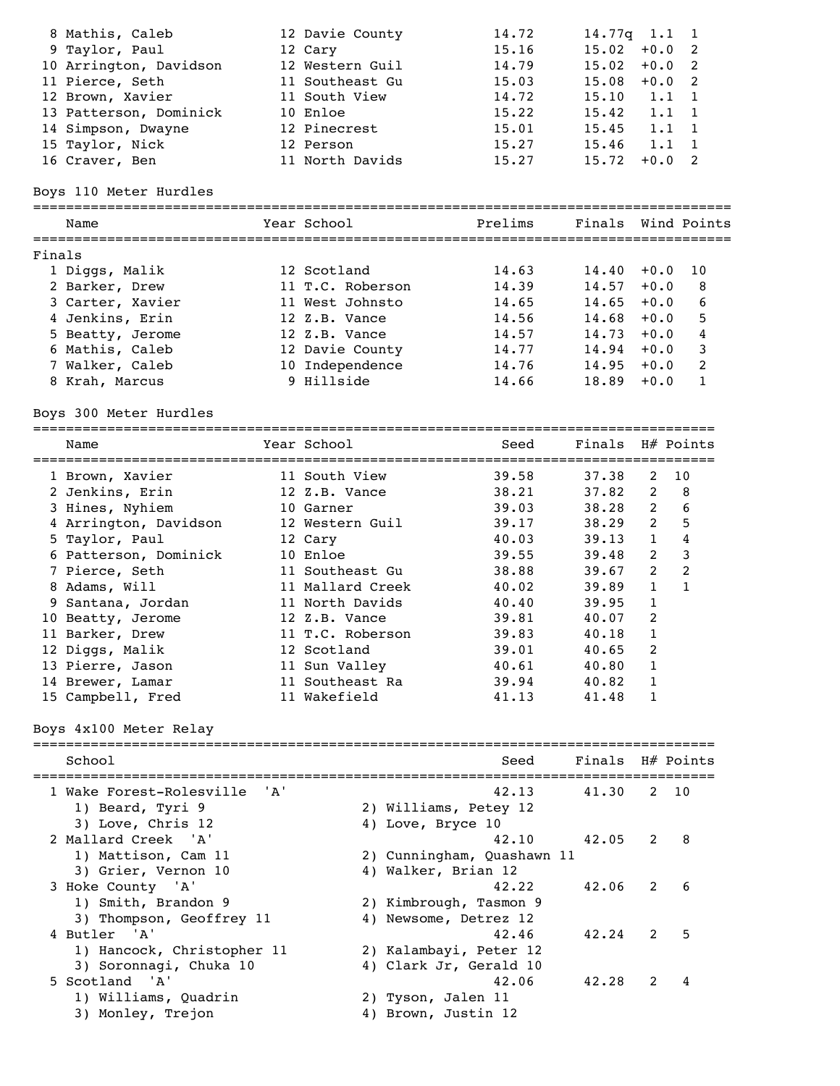|        | 8 Mathis, Caleb<br>9 Taylor, Paul<br>10 Arrington, Davidson<br>11 Pierce, Seth<br>12 Brown, Xavier |       | 12 Davie County<br>12 Cary<br>12 Western Guil<br>11 Southeast Gu<br>11 South View | 14.72<br>15.16<br>14.79<br>15.03<br>14.72 | 14.77q<br>15.02<br>15.02<br>15.08<br>15.10 | 1.1<br>$+0.0$<br>$+0.0$<br>$+0.0$<br>1.1 | $\mathbf{1}$<br>2<br>$\overline{\phantom{0}}^2$<br>$\overline{\phantom{0}}^2$<br>1 |
|--------|----------------------------------------------------------------------------------------------------|-------|-----------------------------------------------------------------------------------|-------------------------------------------|--------------------------------------------|------------------------------------------|------------------------------------------------------------------------------------|
|        | 13 Patterson, Dominick<br>14 Simpson, Dwayne                                                       |       | 10 Enloe<br>12 Pinecrest                                                          | 15.22<br>15.01                            | 15.42<br>15.45                             | 1.1<br>1.1                               | 1<br>1                                                                             |
|        | 15 Taylor, Nick                                                                                    |       | 12 Person                                                                         | 15.27                                     | 15.46                                      | 1.1                                      | $\mathbf{1}$                                                                       |
|        | 16 Craver, Ben                                                                                     |       | 11 North Davids                                                                   | 15.27                                     | 15.72                                      | $+0.0$                                   | $\overline{\phantom{a}}^2$                                                         |
|        |                                                                                                    |       |                                                                                   |                                           |                                            |                                          |                                                                                    |
|        | Boys 110 Meter Hurdles                                                                             |       |                                                                                   |                                           |                                            |                                          |                                                                                    |
|        | Name                                                                                               |       | Year School                                                                       | Prelims                                   |                                            |                                          | Finals Wind Points                                                                 |
| Finals |                                                                                                    |       |                                                                                   |                                           |                                            |                                          |                                                                                    |
|        | 1 Diggs, Malik                                                                                     |       | 12 Scotland                                                                       | 14.63                                     | 14.40                                      | $+0.0$                                   | 10                                                                                 |
|        | 2 Barker, Drew                                                                                     |       | 11 T.C. Roberson                                                                  | 14.39                                     | 14.57                                      | $+0.0$                                   | 8                                                                                  |
|        | 3 Carter, Xavier                                                                                   |       | 11 West Johnsto                                                                   | 14.65                                     | 14.65                                      | $+0.0$                                   | 6                                                                                  |
|        | 4 Jenkins, Erin                                                                                    |       | 12 Z.B. Vance                                                                     | 14.56                                     | 14.68                                      | $+0.0$                                   | 5                                                                                  |
|        | 5 Beatty, Jerome                                                                                   |       | 12 Z.B. Vance                                                                     | 14.57                                     | 14.73                                      | $+0.0$                                   | 4                                                                                  |
|        | 6 Mathis, Caleb                                                                                    |       | 12 Davie County                                                                   | 14.77                                     | 14.94                                      | $+0.0$                                   | 3                                                                                  |
|        | 7 Walker, Caleb                                                                                    |       | 10 Independence                                                                   | 14.76                                     | 14.95                                      | $+0.0$                                   | 2                                                                                  |
|        | 8 Krah, Marcus                                                                                     |       | 9 Hillside                                                                        | 14.66                                     | 18.89                                      | $+0.0$                                   | $\mathbf{1}$                                                                       |
|        | Boys 300 Meter Hurdles                                                                             |       |                                                                                   |                                           |                                            |                                          |                                                                                    |
|        | Name                                                                                               |       | Year School                                                                       | Seed                                      | Finals                                     |                                          | H# Points                                                                          |
|        | 1 Brown, Xavier                                                                                    |       | 11 South View                                                                     | 39.58                                     | 37.38                                      | 2                                        | 10                                                                                 |
|        | 2 Jenkins, Erin                                                                                    |       | 12 Z.B. Vance                                                                     | 38.21                                     | 37.82                                      | $\mathbf{2}$                             | 8                                                                                  |
|        | 3 Hines, Nyhiem                                                                                    |       | 10 Garner                                                                         | 39.03                                     | 38.28                                      | $\overline{2}$                           | 6                                                                                  |
|        | 4 Arrington, Davidson                                                                              |       | 12 Western Guil                                                                   | 39.17                                     | 38.29                                      | $\overline{2}$                           | 5                                                                                  |
|        | 5 Taylor, Paul                                                                                     |       | 12 Cary                                                                           | 40.03                                     | 39.13                                      | $\mathbf{1}$                             | $\overline{4}$                                                                     |
|        | 6 Patterson, Dominick                                                                              |       | 10 Enloe                                                                          | 39.55                                     | 39.48                                      | $\overline{2}$                           | 3                                                                                  |
|        | 7 Pierce, Seth                                                                                     |       | 11 Southeast Gu                                                                   | 38.88                                     | 39.67                                      | $\overline{2}$                           | 2                                                                                  |
|        | 8 Adams, Will                                                                                      |       | 11 Mallard Creek                                                                  | 40.02                                     | 39.89                                      | $\mathbf{1}$                             | 1                                                                                  |
|        | 9 Santana, Jordan                                                                                  |       | 11 North Davids                                                                   | 40.40                                     | 39.95                                      | $\mathbf{1}$                             |                                                                                    |
|        | 10 Beatty, Jerome                                                                                  |       | 12 Z.B. Vance                                                                     | 39.81                                     | 40.07                                      | 2                                        |                                                                                    |
|        | 11 Barker, Drew                                                                                    |       | 11 T.C. Roberson                                                                  | 39.83                                     | 40.18                                      | $\mathbf{1}$                             |                                                                                    |
|        | 12 Diggs, Malik                                                                                    |       | 12 Scotland                                                                       | 39.01                                     | 40.65                                      | 2                                        |                                                                                    |
|        | 13 Pierre, Jason                                                                                   |       | 11 Sun Valley                                                                     | 40.61                                     | 40.80                                      | 1                                        |                                                                                    |
|        | 14 Brewer, Lamar                                                                                   |       | 11 Southeast Ra                                                                   | 39.94                                     | 40.82                                      | 1                                        |                                                                                    |
|        | 15 Campbell, Fred                                                                                  |       | 11 Wakefield                                                                      | 41.13                                     | 41.48                                      | 1                                        |                                                                                    |
|        | Boys 4x100 Meter Relay                                                                             |       |                                                                                   |                                           |                                            |                                          |                                                                                    |
|        | School                                                                                             |       |                                                                                   | Seed<br>========                          | Finals H# Points                           |                                          | =============                                                                      |
|        | 1 Wake Forest-Rolesville                                                                           | ' A ' |                                                                                   | 42.13                                     | 41.30                                      | 2                                        | 10                                                                                 |
|        | 1) Beard, Tyri 9                                                                                   |       |                                                                                   | 2) Williams, Petey 12                     |                                            |                                          |                                                                                    |
|        | 3) Love, Chris 12                                                                                  |       |                                                                                   | 4) Love, Bryce 10                         |                                            |                                          |                                                                                    |
|        | 2 Mallard Creek<br>' A '                                                                           |       |                                                                                   | 42.10                                     | 42.05                                      | 2                                        | 8                                                                                  |
|        |                                                                                                    |       |                                                                                   |                                           |                                            |                                          |                                                                                    |
|        | 1) Mattison, Cam 11                                                                                |       |                                                                                   | 2) Cunningham, Quashawn 11                |                                            |                                          |                                                                                    |
|        | 3) Grier, Vernon 10                                                                                |       |                                                                                   | 4) Walker, Brian 12<br>42.22              | 42.06                                      |                                          | 6                                                                                  |
|        | 3 Hoke County 'A'                                                                                  |       |                                                                                   |                                           |                                            | 2                                        |                                                                                    |
|        | 1) Smith, Brandon 9                                                                                |       |                                                                                   | 2) Kimbrough, Tasmon 9                    |                                            |                                          |                                                                                    |
|        | 3) Thompson, Geoffrey 11                                                                           |       |                                                                                   | 4) Newsome, Detrez 12                     |                                            |                                          |                                                                                    |
|        | 4 Butler<br>' A '                                                                                  |       |                                                                                   | 42.46                                     | 42.24                                      | 2                                        | 5                                                                                  |
|        | 1) Hancock, Christopher 11                                                                         |       |                                                                                   | 2) Kalambayi, Peter 12                    |                                            |                                          |                                                                                    |
|        | 3) Soronnagi, Chuka 10                                                                             |       |                                                                                   | 4) Clark Jr, Gerald 10                    |                                            |                                          |                                                                                    |
|        | 5 Scotland<br>'A'                                                                                  |       |                                                                                   | 42.06                                     | 42.28                                      | 2                                        | 4                                                                                  |
|        | 1) Williams, Quadrin                                                                               |       |                                                                                   | 2) Tyson, Jalen 11                        |                                            |                                          |                                                                                    |
|        | 3) Monley, Trejon                                                                                  |       |                                                                                   | 4) Brown, Justin 12                       |                                            |                                          |                                                                                    |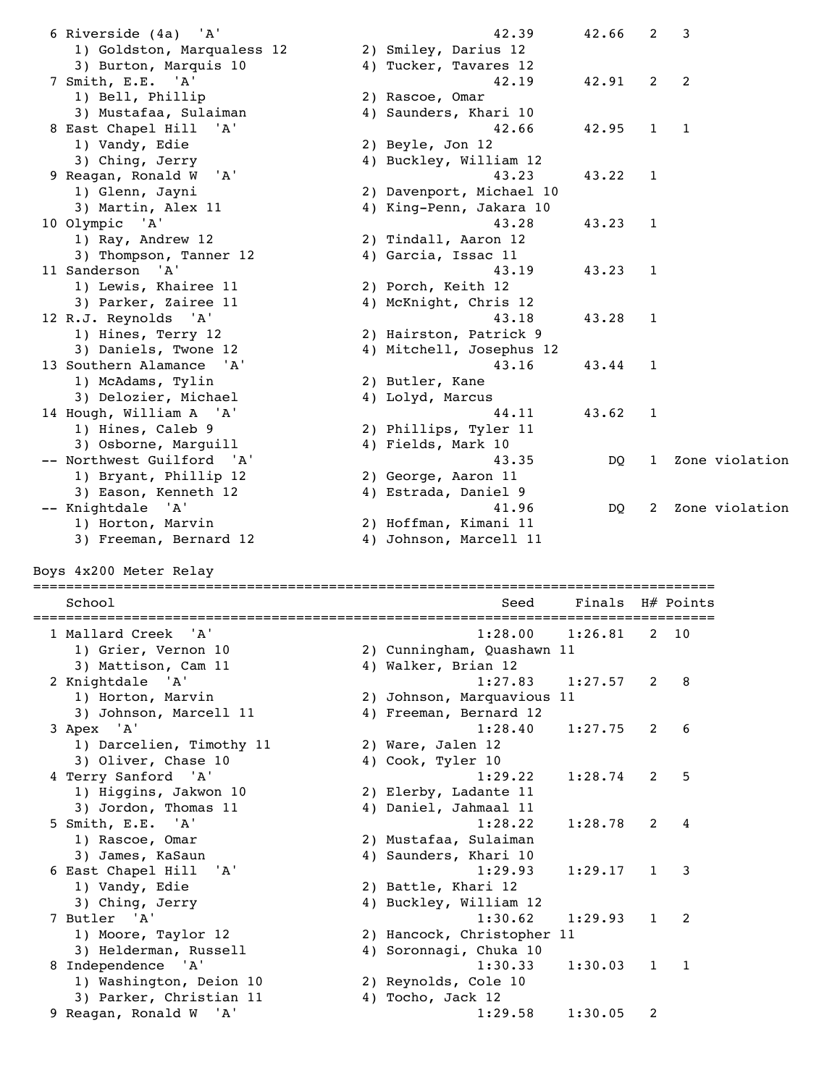| 6 Riverside (4a) 'A'                              | 42.39                      | 42.66   | 2            | 3                        |                |
|---------------------------------------------------|----------------------------|---------|--------------|--------------------------|----------------|
| 1) Goldston, Marqualess 12                        | 2) Smiley, Darius 12       |         |              |                          |                |
| 3) Burton, Marquis 10                             | 4) Tucker, Tavares 12      |         |              |                          |                |
| 7 Smith, E.E. 'A'                                 | 42.19                      | 42.91   | 2            | 2                        |                |
| 1) Bell, Phillip                                  | 2) Rascoe, Omar            |         |              |                          |                |
| 3) Mustafaa, Sulaiman                             | 4) Saunders, Khari 10      |         |              |                          |                |
| 8 East Chapel Hill<br>'A'                         | 42.66                      | 42.95   | $\mathbf{1}$ | 1                        |                |
| 1) Vandy, Edie                                    | 2) Beyle, Jon 12           |         |              |                          |                |
| 3) Ching, Jerry                                   | 4) Buckley, William 12     |         |              |                          |                |
| 9 Reagan, Ronald W<br>'A'                         | 43.23                      | 43.22   | 1            |                          |                |
| 1) Glenn, Jayni                                   | 2) Davenport, Michael 10   |         |              |                          |                |
| 3) Martin, Alex 11                                | 4) King-Penn, Jakara 10    |         |              |                          |                |
| 10 Olympic<br>'A'                                 | 43.28                      | 43.23   | 1            |                          |                |
| 1) Ray, Andrew 12                                 | 2) Tindall, Aaron 12       |         |              |                          |                |
| 3) Thompson, Tanner 12                            | 4) Garcia, Issac 11        |         |              |                          |                |
| 'A'<br>11 Sanderson                               | 43.19                      | 43.23   | 1            |                          |                |
|                                                   |                            |         |              |                          |                |
| 1) Lewis, Khairee 11                              | 2) Porch, Keith 12         |         |              |                          |                |
| 3) Parker, Zairee 11                              | 4) McKnight, Chris 12      |         |              |                          |                |
| 12 R.J. Reynolds 'A'                              | 43.18                      | 43.28   | 1            |                          |                |
| 1) Hines, Terry 12                                | 2) Hairston, Patrick 9     |         |              |                          |                |
| 3) Daniels, Twone 12                              | 4) Mitchell, Josephus 12   |         |              |                          |                |
| 13 Southern Alamance 'A'                          | 43.16                      | 43.44   | 1            |                          |                |
| 1) McAdams, Tylin                                 | 2) Butler, Kane            |         |              |                          |                |
| 3) Delozier, Michael                              | 4) Lolyd, Marcus           |         |              |                          |                |
| 14 Hough, William A 'A'                           | 44.11                      | 43.62   | 1            |                          |                |
| 1) Hines, Caleb 9                                 | 2) Phillips, Tyler 11      |         |              |                          |                |
| 3) Osborne, Marguill                              | 4) Fields, Mark 10         |         |              |                          |                |
| -- Northwest Guilford<br>'A'                      | 43.35                      | DQ      | 1            |                          | Zone violation |
| 1) Bryant, Phillip 12                             | 2) George, Aaron 11        |         |              |                          |                |
| 3) Eason, Kenneth 12                              | 4) Estrada, Daniel 9       |         |              |                          |                |
| -- Knightdale 'A'                                 | 41.96                      | DQ      | 2            |                          | Zone violation |
| 1) Horton, Marvin                                 | 2) Hoffman, Kimani 11      |         |              |                          |                |
| 3) Freeman, Bernard 12                            | 4) Johnson, Marcell 11     |         |              |                          |                |
|                                                   |                            |         |              |                          |                |
| Boys 4x200 Meter Relay                            |                            |         |              |                          |                |
|                                                   |                            |         |              |                          |                |
| School                                            | Seed                       | Finals  |              | $H#$ Points              |                |
| 1 Mallard Creek<br>'A'                            | 1:28.00                    | 1:26.81 | 2            | 10                       |                |
| 1) Grier, Vernon 10                               | 2) Cunningham, Quashawn 11 |         |              |                          |                |
|                                                   |                            |         |              |                          |                |
|                                                   |                            |         |              |                          |                |
| 3) Mattison, Cam 11                               | 4) Walker, Brian 12        |         |              |                          |                |
| 2 Knightdale 'A'                                  | 1:27.83                    | 1:27.57 | 2            | 8                        |                |
| 1) Horton, Marvin                                 | 2) Johnson, Marquavious 11 |         |              |                          |                |
| 3) Johnson, Marcell 11                            | 4) Freeman, Bernard 12     |         |              |                          |                |
| 3 Apex 'A'                                        | 1:28.40                    | 1:27.75 | 2            | 6                        |                |
| 1) Darcelien, Timothy 11                          | 2) Ware, Jalen 12          |         |              |                          |                |
| 3) Oliver, Chase 10                               | 4) Cook, Tyler 10          |         |              |                          |                |
| 4 Terry Sanford 'A'                               | 1:29.22                    | 1:28.74 | 2            | 5                        |                |
| 1) Higgins, Jakwon 10                             | 2) Elerby, Ladante 11      |         |              |                          |                |
| 3) Jordon, Thomas 11                              | 4) Daniel, Jahmaal 11      |         |              |                          |                |
| 5 Smith, E.E. 'A'                                 | 1:28.22                    | 1:28.78 | 2            | 4                        |                |
| 1) Rascoe, Omar                                   | 2) Mustafaa, Sulaiman      |         |              |                          |                |
| 3) James, KaSaun                                  | 4) Saunders, Khari 10      |         |              |                          |                |
| 6 East Chapel Hill<br>'A'                         | 1:29.93                    | 1:29.17 | $\mathbf{1}$ | 3                        |                |
| 1) Vandy, Edie                                    | 2) Battle, Khari 12        |         |              |                          |                |
| 3) Ching, Jerry                                   | 4) Buckley, William 12     |         |              |                          |                |
| 7 Butler 'A'                                      | 1:30.62                    | 1:29.93 | 1            | 2                        |                |
| 1) Moore, Taylor 12                               | 2) Hancock, Christopher 11 |         |              |                          |                |
| 3) Helderman, Russell                             | 4) Soronnagi, Chuka 10     |         |              |                          |                |
| 8 Independence 'A'                                | 1:30.33                    | 1:30.03 | 1            | $\overline{\phantom{a}}$ |                |
| 1) Washington, Deion 10                           | 2) Reynolds, Cole 10       |         |              |                          |                |
|                                                   | 4) Tocho, Jack 12          |         |              |                          |                |
| 3) Parker, Christian 11<br>9 Reagan, Ronald W 'A' | 1:29.58                    | 1:30.05 | 2            |                          |                |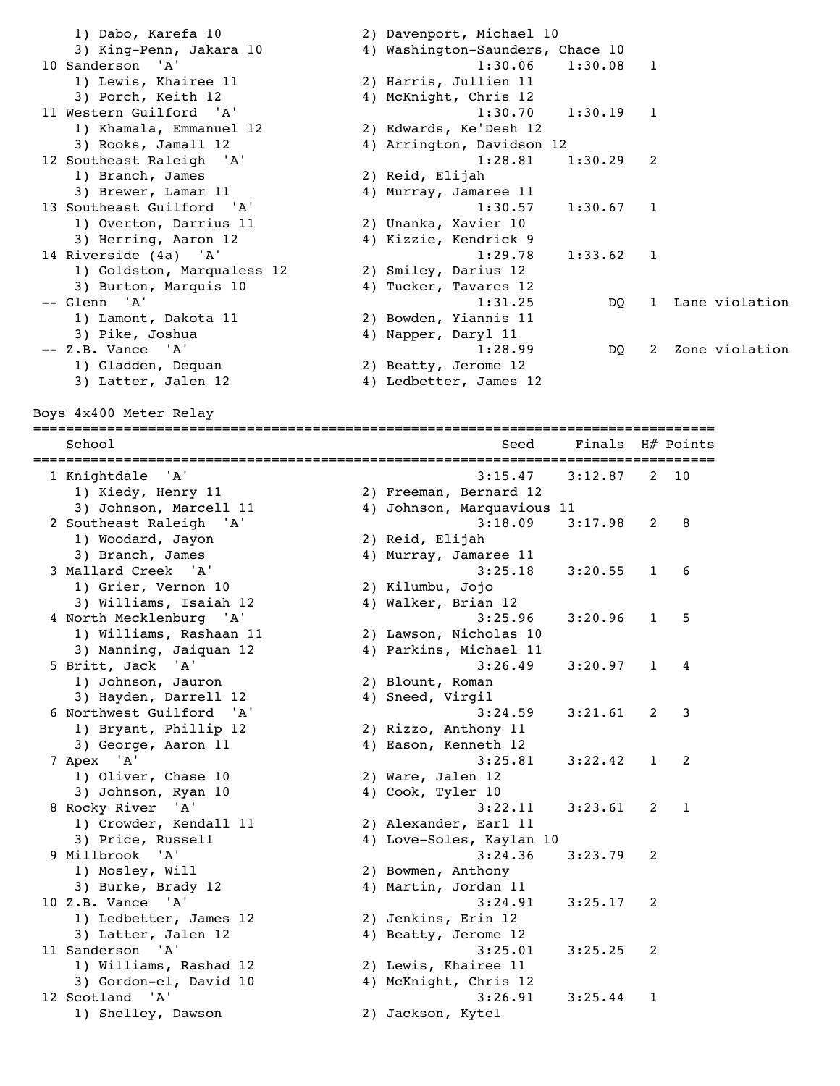1) Dabo, Karefa 10 2) Davenport, Michael 10 3) King-Penn, Jakara 10 4) Washington-Saunders, Chace 10 10 Sanderson 'A' 1:30.06 1:30.08 1 1) Lewis, Khairee 11 2) Harris, Jullien 11 3) Porch, Keith 12 4) McKnight, Chris 12 11 Western Guilford 'A' 1:30.70 1:30.19 1 1) Khamala, Emmanuel 12 2) Edwards, Ke'Desh 12 3) Rooks, Jamall 12 4) Arrington, Davidson 12 12 Southeast Raleigh 'A' 1:28.81 1:30.29 2 1) Branch, James 2) Reid, Elijah 3) Brewer, Lamar 11 4) Murray, Jamaree 11 13 Southeast Guilford 'A' 1:30.57 1:30.67 1 1) Overton, Darrius 11 2) Unanka, Xavier 10 3) Herring, Aaron 12 4) Kizzie, Kendrick 9 14 Riverside (4a) 'A' 1:29.78 1:33.62 1 1) Goldston, Marqualess 12 2) Smiley, Darius 12 3) Burton, Marquis 10 4) Tucker, Tavares 12 -- Glenn 'A' 1:31.25 DQ 1 Lane violation 1) Lamont, Dakota 11 2) Bowden, Yiannis 11 3) Pike, Joshua (1988) 4) Napper, Daryl 11 -- Z.B. Vance 'A' 1:28.99 DQ 2 Zone violation 1) Gladden, Dequan 2) Beatty, Jerome 12 3) Latter, Jalen 12 4) Ledbetter, James 12 Boys 4x400 Meter Relay =================================================================================== School Seed Finals H# Points =================================================================================== 1 Knightdale 'A' 3:15.47 3:12.87 2 10 1) Kiedy, Henry 11 2) Freeman, Bernard 12 3) Johnson, Marcell 11 4) Johnson, Marquavious 11 2 Southeast Raleigh 'A' 3:18.09 3:17.98 2 8 1) Woodard, Jayon 2) Reid, Elijah 3) Branch, James 4) Murray, Jamaree 11 3 Mallard Creek 'A' 3:25.18 3:20.55 1 6 1) Grier, Vernon 10 2) Kilumbu, Jojo 3) Williams, Isaiah 12  $\hskip1cm$  4) Walker, Brian 12 4 North Mecklenburg 'A' 3:25.96 3:20.96 1 5 1) Williams, Rashaan 11 2) Lawson, Nicholas 10 3) Manning, Jaiquan 12 4) Parkins, Michael 11 5 Britt, Jack 'A' 3:26.49 3:20.97 1 4 1) Johnson, Jauron 2) Blount, Roman 3) Hayden, Darrell 12 4) Sneed, Virgil 6 Northwest Guilford 'A' 3:24.59 3:21.61 2 3 1) Bryant, Phillip 12<br>3) George, Aaron 11 3) Bryant, Phillip 12 (2) Rizzo, Anthony 11 (3) George, Aaron 11 (4) Eason, Kenneth 12 7 Apex 'A' 3:25.81 3:22.42 1 2 1) Oliver, Chase 10 2) Ware, Jalen 12 3) Johnson, Ryan 10  $\hskip1cm$  4) Cook, Tyler 10 8 Rocky River 'A' 3:22.11 3:23.61 2 1 1) Crowder, Kendall 11 2) Alexander, Earl 11 3) Price, Russell 4) Love-Soles, Kaylan 10 9 Millbrook 'A' 3:24.36 3:23.79 2 1) Mosley, Will 2) Bowmen, Anthony 3) Burke, Brady 12 4) Martin, Jordan 11 10 Z.B. Vance 'A' 3:24.91 3:25.17 2 1) Ledbetter, James 12 2) Jenkins, Erin 12 3) Latter, Jalen 12 4) Beatty, Jerome 12 11 Sanderson 'A' 3:25.01 3:25.25 2<br>1) Williams, Rashad 12 2) Lewis, Khairee 11<br>3) Gordon-el, David 10 4) McKnight, Chris 12 1) Williams, Rashad 12 2) Lewis, Khairee 11 3) Gordon-el, David 10 4) McKnight, Chris 12 12 Scotland 'A' 3:26.91 3:25.44 1 1) Shelley, Dawson 2) Jackson, Kytel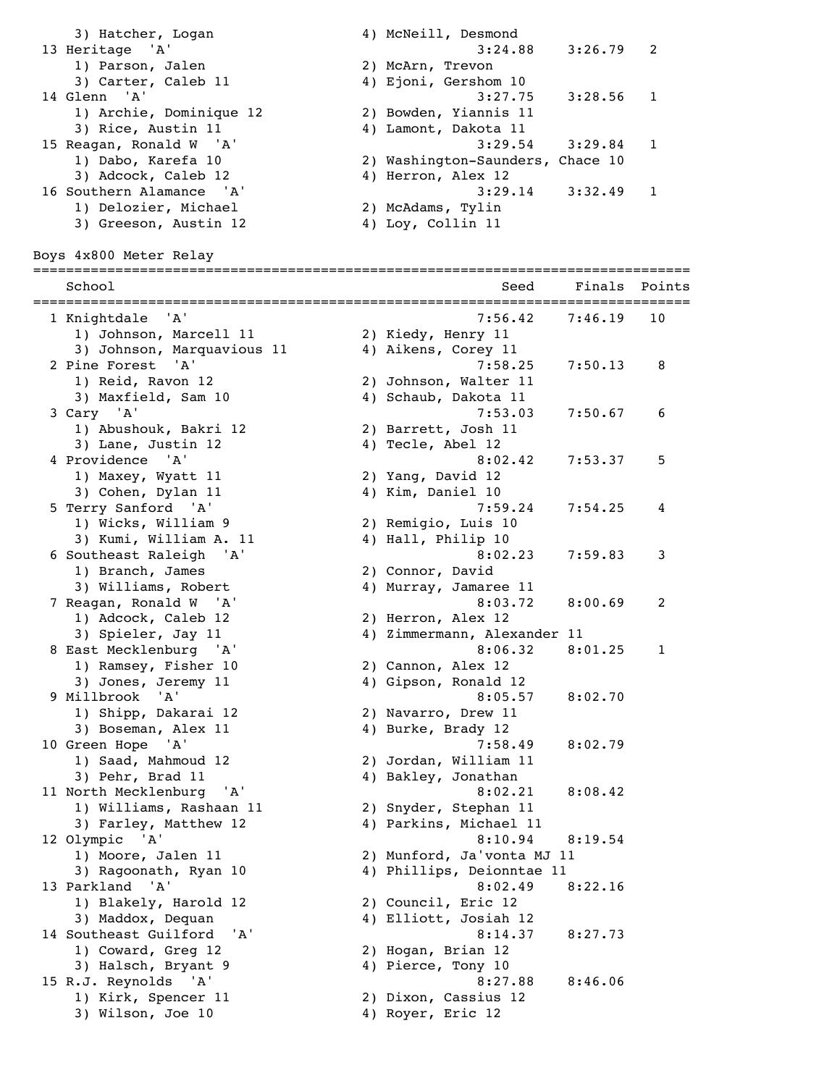3) Hatcher, Logan (a) 4) McNeill, Desmond<br>124.88 (a) 3:24.88 (a) 3:26.79 13 Heritage 'A' 3:24.88 3:26.79 2 1) Parson, Jalen 2) McArn, Trevon 3) Carter, Caleb 11 4) Ejoni, Gershom 10 3) Carter, Caleb 11 <br>14 Glenn 'A' <br>14 Glenn 'A' <br>3:27.75 3:28.56 1 1) Archie, Dominique 12 2) Bowden, Yiannis 11 3) Rice, Austin 11 4) Lamont, Dakota 11 15 Reagan, Ronald W 'A' 3:29.54 3:29.84 1 1) Dabo, Karefa 10 2) Washington-Saunders, Chace 10 3) Adcock, Caleb 12 4) Herron, Alex 12 16 Southern Alamance 'A' 3:29.14 3:32.49 1 1) Delozier, Michael 2) McAdams, Tylin 3) Greeson, Austin 12 (4) Loy, Collin 11 Boys 4x800 Meter Relay ================================================================================ School Seed Finals Points ================================================================================ 1 Knightdale 'A' 7:56.42 7:46.19 10 1) Johnson, Marcell 11 2) Kiedy, Henry 11 3) Johnson, Marquavious 11  $\hskip10mm 4$ ) Aikens, Corey 11 2 Pine Forest 'A' 7:58.25 7:50.13 8 1) Reid, Ravon 12 2) Johnson, Walter 11 3) Maxfield, Sam 10 4) Schaub, Dakota 11 3 Cary 'A' 7:53.03 7:50.67 6 1) Abushouk, Bakri 12 30 2) Barrett, Josh 11 3) Lane, Justin 12 (a) 4) Tecle, Abel 12 4 Providence 'A' 8:02.42 7:53.37 5<br>1) Maxey, Wyatt 11 2) Yang, David 12 1) Maxey, Wyatt 11 2) Yang, David 12 3) Cohen, Dylan 11 4) Kim, Daniel 10 5 Terry Sanford 'A' 7:59.24 7:54.25 4 1) Wicks, William 9 2) Remigio, Luis 10<br>3) Kumi, William A. 11 4) Hall, Philip 10 3) Kumi, William A. 11 6 Southeast Raleigh 'A' 8:02.23 7:59.83 3 1) Branch, James 2) Connor, David 3) Williams, Robert 4) Murray, Jamaree 11 7 Reagan, Ronald W 'A' 8:03.72 8:00.69 2 1) Adcock, Caleb 12 2) Herron, Alex 12<br>3) Spieler, Jay 11 4) Zimmermann, Alex 4) Zimmermann, Alexander 11 8 East Mecklenburg 'A' 8:06.32 8:01.25 1 1) Ramsey, Fisher 10 3) Jones, Jeremy 11 4) Gipson, Ronald 12 9 Millbrook 'A' 8:05.57 8:02.70<br>1) Shipp, Dakarai 12 2) Navarro, Drew 11<br>3) Boseman, Alex 11 4) Burke, Brady 12 1) Shipp, Dakarai 12 2) Navarro, Drew 11 3) Boseman, Alex 11 4) Burke, Brady 12 10 Green Hope 'A' 7:58.49 8:02.79 1) Saad, Mahmoud 12 2) Jordan, William 11 3) Pehr, Brad 11 4) Bakley, Jonathan 11 North Mecklenburg 'A' 8:02.21 8:08.42<br>1) Williams, Rashaan 11 2) Snyder, Stephan 11<br>3) Farley, Matthew 12 4) Parkins, Michael 11 1) Williams, Rashaan 11 2) Snyder, Stephan 11 3) Farley, Matthew 12 4) Parkins, Michael 11 12 Olympic 'A' 8:10.94 8:19.54 1) Moore, Jalen 11 2) Munford, Ja'vonta MJ 11 3) Ragoonath, Ryan 10 4) Phillips, Deionntae 11 13 Parkland 'A' 8:02.49 8:22.16 1) Blakely, Harold 12 2) Council, Eric 12 3) Maddox, Dequan 4) Elliott, Josiah 12 14 Southeast Guilford 'A' 8:14.37 8:27.73 1) Coward, Greg 12 2) Hogan, Brian 12 3) Halsch, Bryant 9 19 10 4) Pierce, Tony 10 15 R.J. Reynolds 'A' 8:27.88 8:46.06<br>1) Kirk, Spencer 11 2) Dixon, Cassius 12 1) Kirk, Spencer 11 2) Dixon, Cassius 12 3) Wilson, Joe 10 4) Royer, Eric 12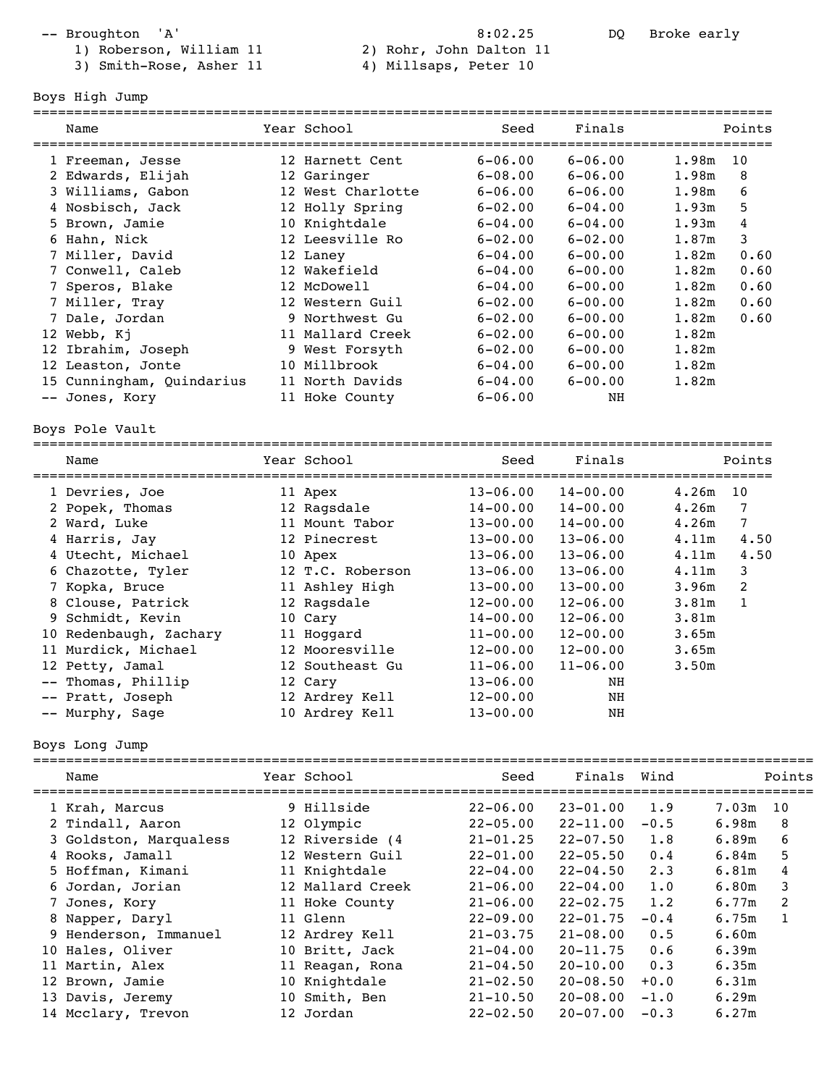- 
- 3) Smith-Rose, Asher 11 4) Millsaps, Peter 10
- -- Broughton 'A' 3:02.25 DQ Broke early 1) Roberson, William 11 2) Rohr, John Dalton 11

==========================================================================================

Boys High Jump

| Name                      | Year School       | Seed         | Finals                      |                   | Points       |
|---------------------------|-------------------|--------------|-----------------------------|-------------------|--------------|
| 1 Freeman, Jesse          | 12 Harnett Cent   | $6 - 06.00$  | $6 - 06.00$                 | 1.98m             | 10           |
| 2 Edwards, Elijah         | 12 Garinger       | $6 - 08.00$  | $6 - 06.00$                 | 1.98m             | 8            |
| 3 Williams, Gabon         | 12 West Charlotte | $6 - 06.00$  | $6 - 06.00$                 | 1.98m             | 6            |
| 4 Nosbisch, Jack          | 12 Holly Spring   | $6 - 02.00$  | $6 - 04.00$                 | 1.93m             | 5            |
| 5 Brown, Jamie            | 10 Knightdale     | $6 - 04.00$  | $6 - 04.00$                 | 1.93m             | 4            |
| 6 Hahn, Nick              | 12 Leesville Ro   | $6 - 02.00$  | $6 - 02.00$                 | 1.87m             | 3            |
| 7 Miller, David           | 12 Laney          | $6 - 04.00$  | $6 - 00.00$                 | 1.82m             | 0.60         |
| 7 Conwell, Caleb          | 12 Wakefield      | $6 - 04.00$  | $6 - 00.00$                 | 1.82m             | 0.60         |
| 7 Speros, Blake           | 12 McDowell       | $6 - 04.00$  | $6 - 00.00$                 | 1.82m             | 0.60         |
| 7 Miller, Tray            | 12 Western Guil   | $6 - 02.00$  | $6 - 00.00$                 | 1.82m             | 0.60         |
| 7 Dale, Jordan            | 9 Northwest Gu    | $6 - 02.00$  | $6 - 00.00$                 | 1.82m             | 0.60         |
| 12 Webb, Kj               | 11 Mallard Creek  | $6 - 02.00$  | $6 - 00.00$                 | 1.82m             |              |
| 12 Ibrahim, Joseph        | 9 West Forsyth    | $6 - 02.00$  | $6 - 00.00$                 | 1.82m             |              |
| 12 Leaston, Jonte         | 10 Millbrook      | $6 - 04.00$  | $6 - 00.00$                 | 1.82m             |              |
| 15 Cunningham, Quindarius | 11 North Davids   | $6 - 04.00$  | $6 - 00.00$                 | 1.82m             |              |
| -- Jones, Kory            | 11 Hoke County    | $6 - 06.00$  | NH                          |                   |              |
| Boys Pole Vault           |                   |              |                             |                   |              |
| Name                      | Year School       | Seed         | Finals                      |                   | Points       |
| 1 Devries, Joe            | 11 Apex           | $13 - 06.00$ | $14 - 00.00$                | 4.26m             | 10           |
| 2 Popek, Thomas           | 12 Ragsdale       | $14 - 00.00$ | $14 - 00.00$                | 4.26m             | 7            |
| 2 Ward, Luke              | 11 Mount Tabor    | $13 - 00.00$ | $14 - 00.00$                | 4.26m             | 7            |
| 4 Harris, Jay             | 12 Pinecrest      | $13 - 00.00$ | $13 - 06.00$                | 4.11m             | 4.50         |
| 4 Utecht, Michael         | 10 Apex           | $13 - 06.00$ | $13 - 06.00$                | 4.11m             | 4.50         |
| 6 Chazotte, Tyler         | 12 T.C. Roberson  | $13 - 06.00$ | $13 - 06.00$                | 4.11m             | 3            |
| 7 Kopka, Bruce            | 11 Ashley High    | $13 - 00.00$ | $13 - 00.00$                | 3.96m             | 2            |
| 8 Clouse, Patrick         | 12 Ragsdale       | $12 - 00.00$ | $12 - 06.00$                | 3.81m             | $\mathbf{1}$ |
| 9 Schmidt, Kevin          | 10 Cary           | $14 - 00.00$ | $12 - 06.00$                | 3.81 <sub>m</sub> |              |
| 10 Redenbaugh, Zachary    | 11 Hoggard        | $11 - 00.00$ | $12 - 00.00$                | 3.65m             |              |
| 11 Murdick, Michael       | 12 Mooresville    | $12 - 00.00$ | $12 - 00.00$                | 3.65m             |              |
| 12 Petty, Jamal           | 12 Southeast Gu   | $11 - 06.00$ | $11 - 06.00$                | 3.50m             |              |
| -- Thomas, Phillip        | 12 Cary           | $13 - 06.00$ | NH                          |                   |              |
| -- Pratt, Joseph          | 12 Ardrey Kell    | $12 - 00.00$ | NH                          |                   |              |
| -- Murphy, Sage           | 10 Ardrey Kell    | $13 - 00.00$ | NH                          |                   |              |
| Boys Long Jump            |                   |              |                             |                   |              |
| Name                      | Year School       | Seed         | Finals                      | Wind              | Points       |
| 1 Krah, Marcus            | 9 Hillside        |              | $22-06.00$ $23-01.00$ $1.9$ |                   | $7.03m$ 10   |

| 1 Krah, Marcus         | 9 Hillside       | $22 - 06.00$ | $23 - 01.00$ | 1.9         | 7.03m | - 10 |
|------------------------|------------------|--------------|--------------|-------------|-------|------|
| 2 Tindall, Aaron       | 12 Olympic       | $22 - 05.00$ | $22 - 11.00$ | $-0.5$      | 6.98m | 8    |
| 3 Goldston, Marqualess | 12 Riverside (4  | $21 - 01.25$ | $22 - 07.50$ | 1.8         | 6.89m | 6    |
| 4 Rooks, Jamall        | 12 Western Guil  | $22 - 01.00$ | $22 - 05.50$ | 0.4         | 6.84m | 5    |
| 5 Hoffman, Kimani      | 11 Knightdale    | $22 - 04.00$ | $22 - 04.50$ | $2 \cdot 3$ | 6.81m | 4    |
| 6 Jordan, Jorian       | 12 Mallard Creek | $21 - 06.00$ | $22 - 04.00$ | 1.0         | 6.80m | 3    |
| 7 Jones, Kory          | 11 Hoke County   | $21 - 06.00$ | $22 - 02.75$ | 1.2         | 6.77m | 2    |
| 8 Napper, Daryl        | 11 Glenn         | $22 - 09.00$ | $22 - 01.75$ | $-0.4$      | 6.75m | 1    |
| 9 Henderson, Immanuel  | 12 Ardrey Kell   | $21 - 03.75$ | $21 - 08.00$ | 0.5         | 6.60m |      |
| 10 Hales, Oliver       | 10 Britt, Jack   | $21 - 04.00$ | $20 - 11.75$ | 0.6         | 6.39m |      |
| 11 Martin, Alex        | 11 Reagan, Rona  | $21 - 04.50$ | $20 - 10.00$ | 0.3         | 6.35m |      |
| 12 Brown, Jamie        | 10 Knightdale    | $21 - 02.50$ | $20 - 08.50$ | $+0.0$      | 6.31m |      |
| 13 Davis, Jeremy       | 10 Smith, Ben    | $21 - 10.50$ | $20 - 08.00$ | $-1.0$      | 6.29m |      |
| 14 Mcclary, Trevon     | 12 Jordan        | $22 - 02.50$ | $20 - 07.00$ | $-0.3$      | 6.27m |      |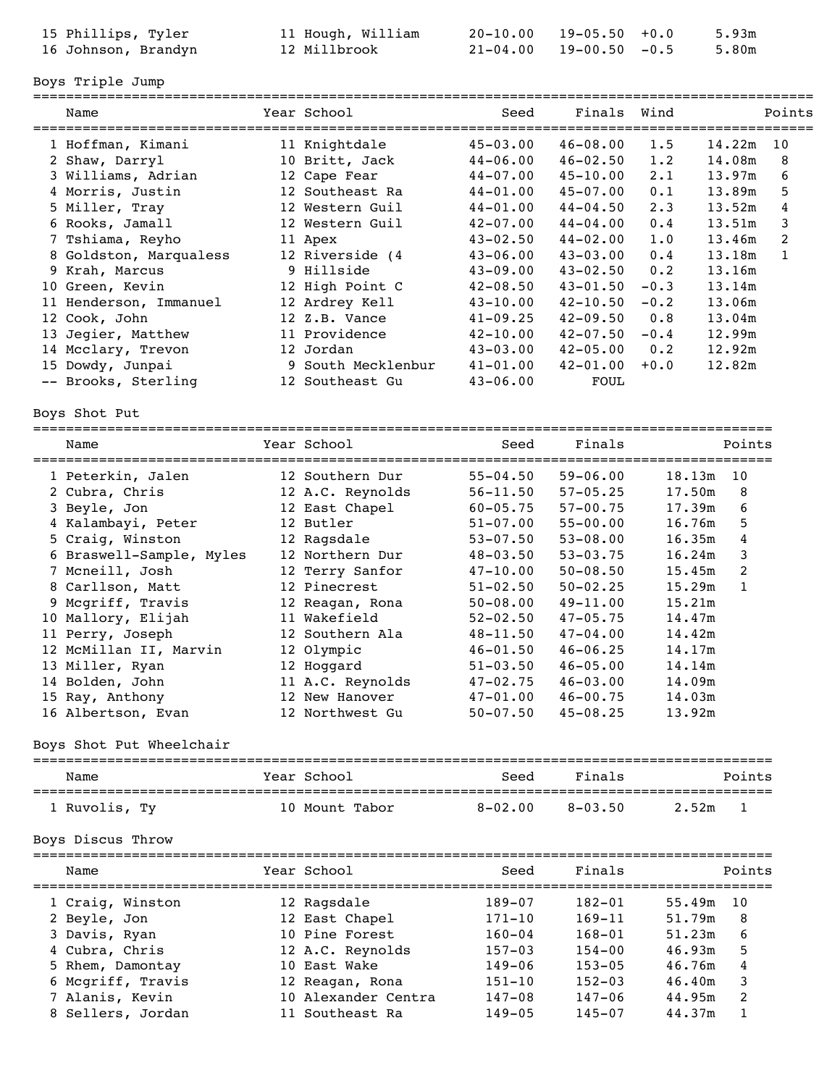| 15 Phillips, Tyler  | 11 Hough, William | $20-10.00$ $19-05.50$ $+0.0$     | 5.93m |
|---------------------|-------------------|----------------------------------|-------|
| 16 Johnson, Brandyn | 12 Millbrook      | $21 - 04.00$ $19 - 00.50$ $-0.5$ | 5.80m |

Boys Triple Jump

| Name                             | Year School                                | Seed                        | Finals       | Wind                   |        | Points       |
|----------------------------------|--------------------------------------------|-----------------------------|--------------|------------------------|--------|--------------|
| 1 Hoffman, Kimani                | 11 Knightdale                              | $45 - 03.00$                | $46 - 08.00$ | 1.5                    | 14.22m | 10           |
| 2 Shaw, Darryl                   | 10 Britt, Jack                             | $44 - 06.00$                | $46 - 02.50$ | 1.2                    | 14.08m | 8            |
| 3 Williams, Adrian               | 12 Cape Fear                               | $44 - 07.00$                | $45 - 10.00$ | $2 \cdot 1$            | 13.97m | 6            |
| 4 Morris, Justin                 | 12 Southeast Ra                            | $44 - 01.00$                | $45 - 07.00$ | 0.1                    | 13.89m | 5            |
| 5 Miller, Tray                   | 12 Western Guil                            | $44 - 01.00$                | $44 - 04.50$ | 2.3                    | 13.52m | 4            |
| 6 Rooks, Jamall                  | 12 Western Guil                            | $42 - 07.00$                | $44 - 04.00$ | 0.4                    | 13.51m | 3            |
| 7 Tshiama, Reyho                 | 11 Apex                                    | $43 - 02.50$                | $44 - 02.00$ | 1.0                    | 13.46m | 2            |
| 8 Goldston, Marqualess           | 12 Riverside (4                            | $43 - 06.00$                | $43 - 03.00$ | 0.4                    | 13.18m | $\mathbf{1}$ |
| 9 Krah, Marcus                   | 9 Hillside                                 | $43 - 09.00$                | $43 - 02.50$ | 0.2                    | 13.16m |              |
| 10 Green, Kevin                  | 12 High Point C                            | $42 - 08.50$                | $43 - 01.50$ | $-0.3$                 | 13.14m |              |
| 11 Henderson, Immanuel           | 12 Ardrey Kell                             | $43 - 10.00$                | $42 - 10.50$ | $-0.2$                 | 13.06m |              |
| 12 Cook, John                    | 12 Z.B. Vance                              | $41 - 09.25$                | $42 - 09.50$ | 0.8                    | 13.04m |              |
| 13 Jegier, Matthew               | 11 Providence                              | $42 - 10.00$                | $42 - 07.50$ | $-0.4$                 | 12.99m |              |
| 14 Mcclary, Trevon               | 12 Jordan                                  | $43 - 03.00$                | $42 - 05.00$ | 0.2                    | 12.92m |              |
| 15 Dowdy, Junpai                 | 9 South Mecklenbur                         | $41 - 01.00$                | $42 - 01.00$ | $+0.0$                 | 12.82m |              |
| -- Brooks, Sterling              | 12 Southeast Gu                            | $43 - 06.00$                | FOUL         |                        |        |              |
| Boys Shot Put                    |                                            |                             |              |                        |        |              |
| Name<br>======================== | Year School<br>;========================== | Seed<br>=================== | Finals       | ====================== | Points |              |
| 1 Peterkin, Jalen                | 12 Southern Dur                            | $55 - 04.50$                | $59 - 06.00$ | 18.13m                 | 10     |              |
| 2 Cubra, Chris                   | 12 A.C. Reynolds                           | $56 - 11.50$                | $57 - 05.25$ | 17.50m                 | 8      |              |
| 3 Beyle, Jon                     | 12 East Chapel                             | $60 - 05.75$                | $57 - 00.75$ | 17.39m                 | 6      |              |
| 4 Kalambayi, Peter               | 12 Butler                                  | $51 - 07.00$                | $55 - 00.00$ | 16.76m                 | 5      |              |
| 5 Craig, Winston                 | 12 Ragsdale                                | $53 - 07.50$                | $53 - 08.00$ | 16.35m                 | 4      |              |
| 6 Braswell-Sample, Myles         | 12 Northern Dur                            | $48 - 03.50$                | $53 - 03.75$ | 16.24m                 | 3      |              |
| 7 Mcneill, Josh                  | 12 Terry Sanfor                            | $47 - 10.00$                | $50 - 08.50$ | 15.45m                 | 2      |              |
| 8 Carllson, Matt                 | 12 Pinecrest                               | $51 - 02.50$                | $50 - 02.25$ | 15.29m                 | 1      |              |
| 9 Mcgriff, Travis                | 12 Reagan, Rona                            | $50 - 08.00$                | $49 - 11.00$ | 15.21m                 |        |              |
| 10 Mallory, Elijah               | 11 Wakefield                               | $52 - 02.50$                | $47 - 05.75$ | 14.47m                 |        |              |
| 11 Perry, Joseph                 | 12 Southern Ala                            | 48-11.50                    | $47 - 04.00$ | 14.42m                 |        |              |
| 12 McMillan II, Marvin           | 12 Olympic                                 | $46 - 01.50$                | $46 - 06.25$ | 14.17m                 |        |              |
| 13 Miller, Ryan                  | 12 Hoggard                                 | $51 - 03.50$                | $46 - 05.00$ | 14.14m                 |        |              |
| 14 Bolden, John                  | 11 A.C. Reynolds                           | $47 - 02.75$                | $46 - 03.00$ | 14.09m                 |        |              |
| 15 Ray, Anthony                  | 12 New Hanover                             | $47 - 01.00$ $46 - 00.75$   |              | 14.03m                 |        |              |
| 16 Albertson, Evan               | 12 Northwest Gu                            | $50 - 07.50$                | $45 - 08.25$ | 13.92m                 |        |              |
| Boys Shot Put Wheelchair         |                                            |                             |              |                        |        |              |
| Name                             | Year School                                | Seed                        | Finals       |                        | Points |              |
| 1 Ruvolis, Ty                    | 10 Mount Tabor                             | $8 - 02.00$                 | $8 - 03.50$  | 2.52m                  | 1      |              |
| Boys Discus Throw                |                                            |                             |              |                        |        |              |
| Name                             | Year School                                | Seed                        | Finals       |                        | Points |              |
| 1 Craig, Winston                 | 12 Ragsdale                                | 189-07                      | $182 - 01$   | 55.49m                 | 10     |              |
| 2 Beyle, Jon                     | 12 East Chapel                             | $171 - 10$                  | $169 - 11$   | 51.79m                 | 8      |              |
| 3 Davis, Ryan                    | 10 Pine Forest                             | $160 - 04$                  | $168 - 01$   | 51.23m                 | 6      |              |
| 4 Cubra, Chris                   | 12 A.C. Reynolds                           | $157 - 03$                  | $154 - 00$   | 46.93m                 | 5      |              |
| 5 Rhem, Damontay                 | 10 East Wake                               | $149 - 06$                  | $153 - 05$   | 46.76m                 | 4      |              |
| 6 Mcgriff, Travis                | 12 Reagan, Rona                            | $151 - 10$                  | $152 - 03$   | 46.40m                 | 3      |              |
| 7 Alanis, Kevin                  | 10 Alexander Centra                        | 147-08                      | $147 - 06$   | 44.95m                 | 2      |              |
| 8 Sellers, Jordan                | 11 Southeast Ra                            | $149 - 05$                  | 145-07       | 44.37m                 | 1      |              |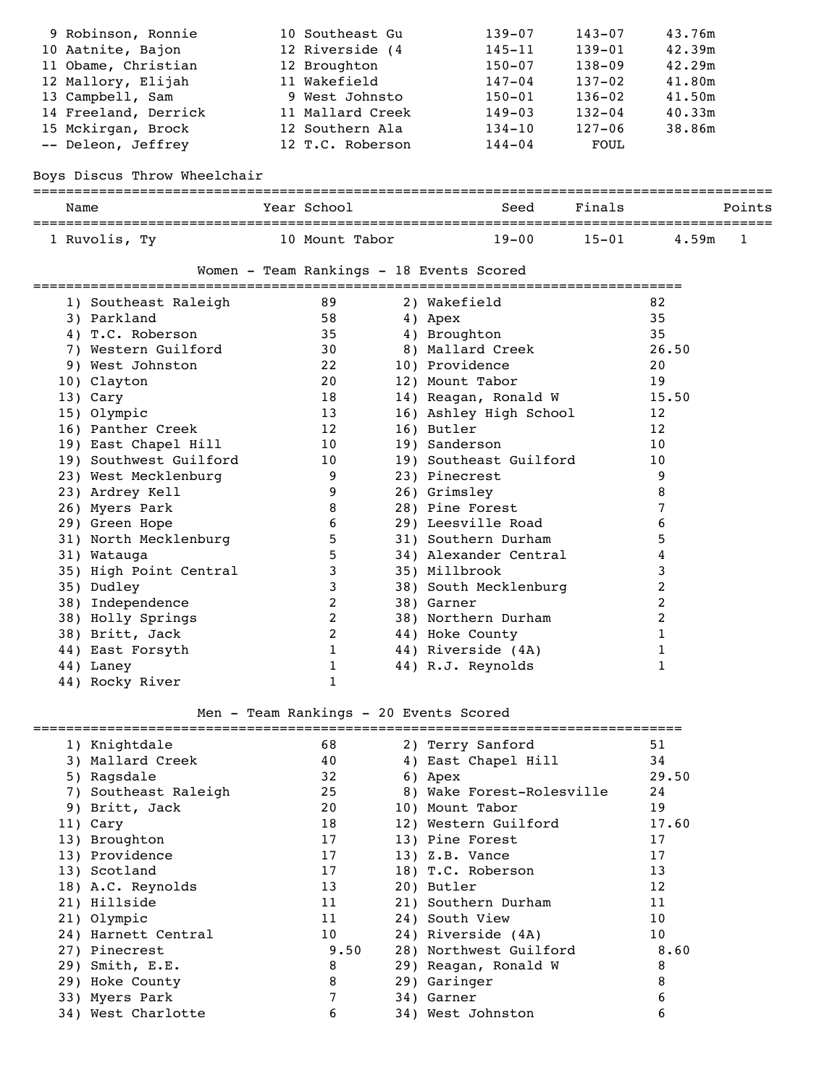| 9 Robinson, Ronnie                          | 10 Southeast Gu                                                     |            | $139 - 07$                                     | 143-07     | 43.76m                   |        |
|---------------------------------------------|---------------------------------------------------------------------|------------|------------------------------------------------|------------|--------------------------|--------|
| 10 Aatnite, Bajon                           | 12 Riverside (4                                                     |            | 145-11                                         | $139 - 01$ | 42.39m                   |        |
| 11 Obame, Christian                         | 12 Broughton                                                        |            | $150 - 07$                                     | $138 - 09$ | 42.29m                   |        |
| 12 Mallory, Elijah                          | 11 Wakefield                                                        |            | 147-04                                         | $137 - 02$ | 41.80m                   |        |
| 13 Campbell, Sam                            | 9 West Johnsto                                                      |            | $150 - 01$                                     | $136 - 02$ | 41.50m                   |        |
| 14 Freeland, Derrick                        | 11 Mallard Creek                                                    |            | $149 - 03$                                     | $132 - 04$ | 40.33m                   |        |
| 15 Mckirgan, Brock                          | 12 Southern Ala                                                     |            | 134-10                                         | $127 - 06$ | 38.86m                   |        |
| -- Deleon, Jeffrey                          | 12 T.C. Roberson                                                    |            | 144-04                                         | FOUL       |                          |        |
|                                             |                                                                     |            |                                                |            |                          |        |
| Boys Discus Throw Wheelchair                |                                                                     |            |                                                |            |                          |        |
| Name                                        | Year School                                                         |            | ______________________________________<br>Seed | Finals     | ------------------------ | Points |
| 1 Ruvolis, Ty                               | 10 Mount Tabor                                                      |            | $19 - 00$                                      | $15 - 01$  | 4.59m                    | 1      |
|                                             |                                                                     |            |                                                |            |                          |        |
|                                             | Women - Team Rankings - 18 Events Scored<br>======================= |            |                                                |            |                          |        |
| 1) Southeast Raleigh                        | 89                                                                  |            | 2) Wakefield                                   |            | 82                       |        |
| 3) Parkland                                 | 58                                                                  | 4) Apex    |                                                |            | 35                       |        |
| 4) T.C. Roberson                            | 35                                                                  |            | 4) Broughton                                   |            | 35                       |        |
| 7) Western Guilford                         | 30                                                                  |            | 8) Mallard Creek                               |            | 26.50                    |        |
| 9) West Johnston                            | 22                                                                  |            | 10) Providence                                 |            | 20                       |        |
| 10) Clayton                                 | 20                                                                  |            | 12) Mount Tabor                                |            | 19                       |        |
| 13) Cary                                    | 18                                                                  |            | 14) Reagan, Ronald W                           |            | 15.50                    |        |
| 15) Olympic                                 | 13                                                                  |            | 16) Ashley High School                         |            | 12                       |        |
| 16) Panther Creek                           | 12                                                                  | 16) Butler |                                                |            | 12                       |        |
| 19) East Chapel Hill                        | 10                                                                  |            | 19) Sanderson                                  |            | 10                       |        |
| 19) Southwest Guilford                      | 10                                                                  |            | 19) Southeast Guilford                         |            | 10                       |        |
| 23) West Mecklenburg                        | 9                                                                   |            | 23) Pinecrest                                  |            | 9                        |        |
| 23) Ardrey Kell                             | 9                                                                   |            | 26) Grimsley                                   |            | 8                        |        |
| 26) Myers Park                              | 8                                                                   |            | 28) Pine Forest                                |            | 7                        |        |
| 29) Green Hope                              | 6                                                                   |            | 29) Leesville Road                             |            | 6                        |        |
| 31) North Mecklenburg                       | 5                                                                   |            | 31) Southern Durham                            |            | 5                        |        |
| 31) Watauga                                 | 5                                                                   |            | 34) Alexander Central                          |            | 4                        |        |
| 35) High Point Central                      | 3                                                                   |            | 35) Millbrook                                  |            | 3                        |        |
| 35) Dudley                                  | 3                                                                   |            | 38) South Mecklenburg                          |            | 2                        |        |
| 38) Independence                            | 2                                                                   | 38) Garner |                                                |            | 2                        |        |
| 38) Holly Springs                           | 2                                                                   |            | 38) Northern Durham                            |            | 2                        |        |
| 38) Britt, Jack                             | 2                                                                   |            | 44) Hoke County                                |            | 1                        |        |
|                                             | 1                                                                   |            |                                                |            |                          |        |
| 44) East Forsyth                            |                                                                     |            | 44) Riverside (4A)                             |            | 1                        |        |
| 44) Laney                                   | 1                                                                   |            | 44) R.J. Reynolds                              |            | 1                        |        |
| 44) Rocky River                             | 1                                                                   |            |                                                |            |                          |        |
|                                             | Men - Team Rankings - 20 Events Scored                              |            |                                                |            |                          |        |
| 1) Knightdale                               | 68                                                                  |            | 2) Terry Sanford                               |            | 51                       |        |
| 3) Mallard Creek                            | 40                                                                  |            | 4) East Chapel Hill                            |            | 34                       |        |
|                                             |                                                                     |            |                                                |            |                          |        |
| 5) Ragsdale                                 | 32                                                                  | 6) Apex    |                                                |            | 29.50                    |        |
| 7) Southeast Raleigh<br>$0 \times 24 + 700$ | 25<br>20                                                            |            | 8) Wake Forest-Rolesville<br>$101$ Mount mabor |            | 24<br>1 <sub>0</sub>     |        |
|                                             |                                                                     |            |                                                |            |                          |        |

|  | $100 - 100 - 100$    |      | ,                         |       |
|--|----------------------|------|---------------------------|-------|
|  | 7) Southeast Raleigh | 25   | 8) Wake Forest-Rolesville | 24    |
|  | 9) Britt, Jack       | 20   | 10) Mount Tabor           | 19    |
|  | 11) Cary             | 18   | 12) Western Guilford      | 17.60 |
|  | 13) Broughton        | 17   | 13) Pine Forest           | 17    |
|  | 13) Providence       | 17   | $13)$ Z.B. Vance          | 17    |
|  | 13) Scotland         | 17   | 18) T.C. Roberson         | 13    |
|  | 18) A.C. Reynolds    | 13   | 20) Butler                | 12    |
|  | 21) Hillside         | 11   | 21) Southern Durham       | 11    |
|  | 21) Olympic          | 11   | 24) South View            | 10    |
|  | 24) Harnett Central  | 10   | 24) Riverside (4A)        | 10    |
|  | 27) Pinecrest        | 9.50 | 28) Northwest Guilford    | 8.60  |
|  | 29) Smith, E.E.      | 8    | 29) Reagan, Ronald W      | 8     |
|  | 29) Hoke County      | 8    | 29) Garinger              | 8     |
|  | 33) Myers Park       | 7    | 34) Garner                | 6     |
|  | 34) West Charlotte   | 6    | 34) West Johnston         | 6     |
|  |                      |      |                           |       |